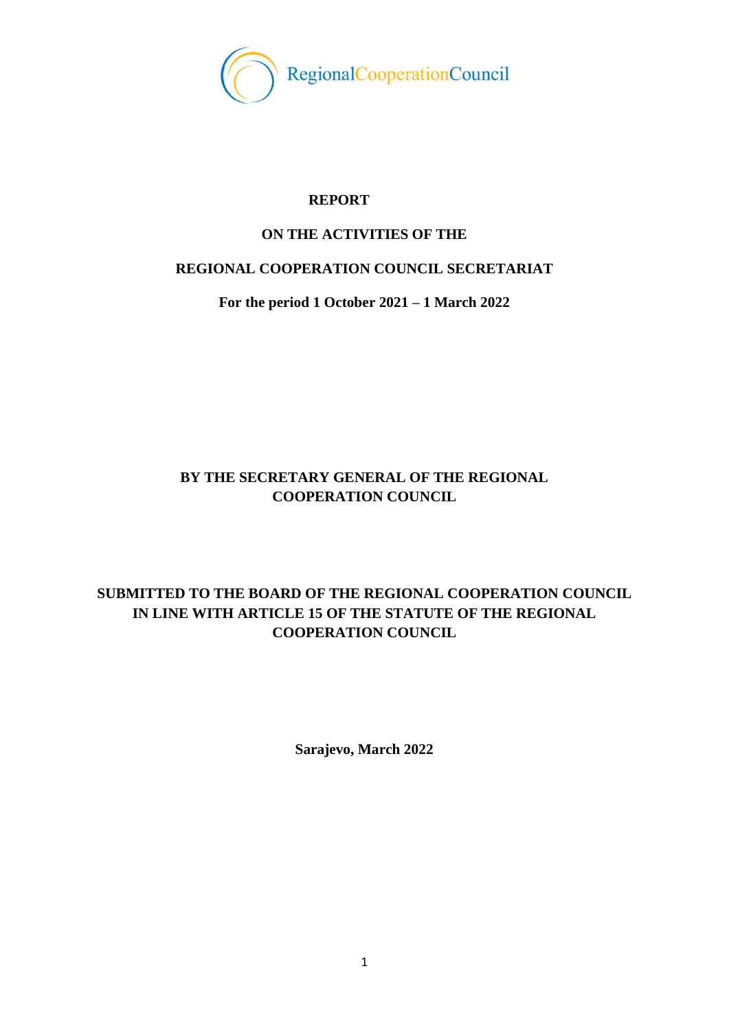

## **REPORT**

## **ON THE ACTIVITIES OF THE**

## **REGIONAL COOPERATION COUNCIL SECRETARIAT**

**For the period 1 October 2021 – 1 March 2022**

# **BY THE SECRETARY GENERAL OF THE REGIONAL COOPERATION COUNCIL**

# **SUBMITTED TO THE BOARD OF THE REGIONAL COOPERATION COUNCIL IN LINE WITH ARTICLE 15 OF THE STATUTE OF THE REGIONAL COOPERATION COUNCIL**

**Sarajevo, March 2022**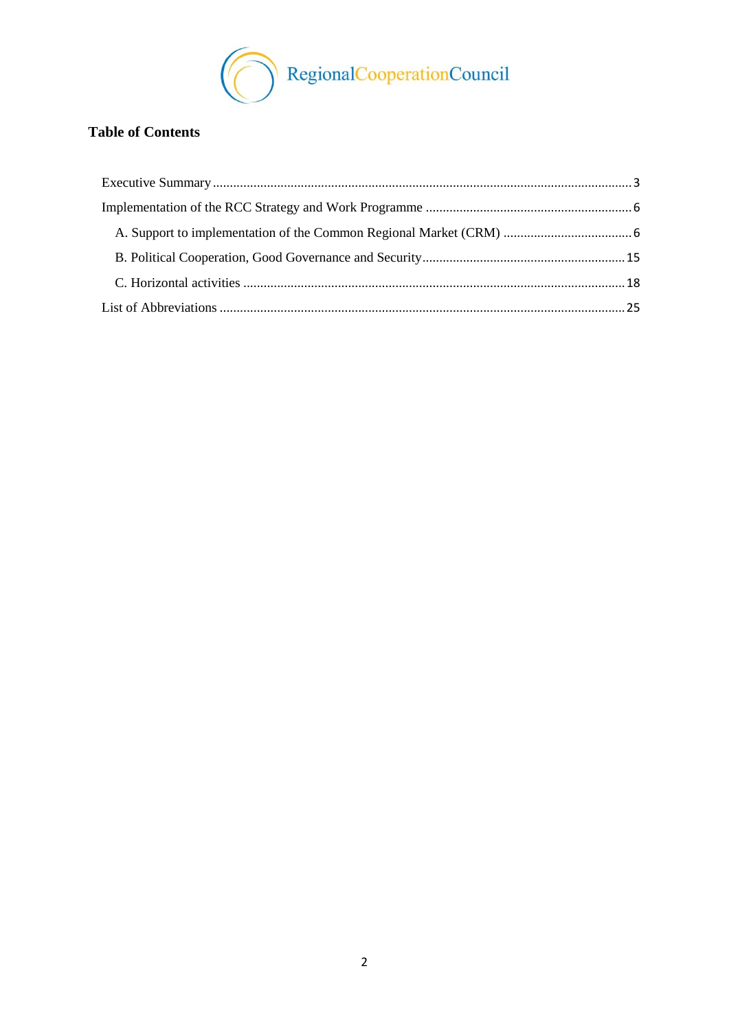

# **Table of Contents**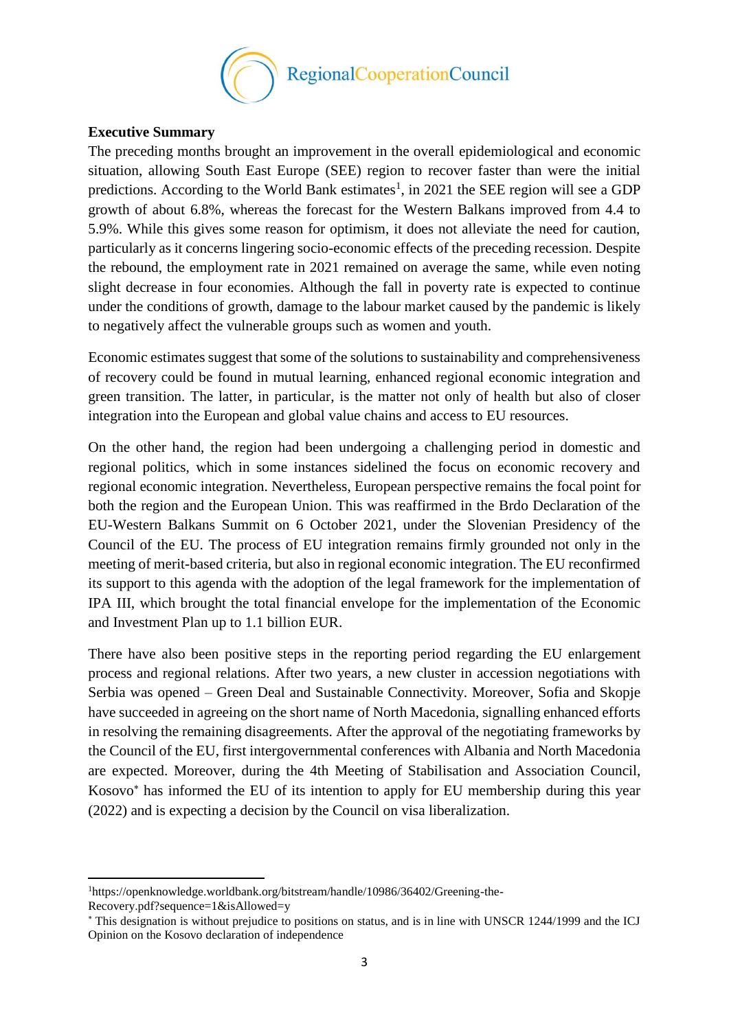

#### <span id="page-2-0"></span>**Executive Summary**

**.** 

The preceding months brought an improvement in the overall epidemiological and economic situation, allowing South East Europe (SEE) region to recover faster than were the initial predictions. According to the World Bank estimates<sup>1</sup>, in 2021 the SEE region will see a GDP growth of about 6.8%, whereas the forecast for the Western Balkans improved from 4.4 to 5.9%. While this gives some reason for optimism, it does not alleviate the need for caution, particularly as it concerns lingering socio-economic effects of the preceding recession. Despite the rebound, the employment rate in 2021 remained on average the same, while even noting slight decrease in four economies. Although the fall in poverty rate is expected to continue under the conditions of growth, damage to the labour market caused by the pandemic is likely to negatively affect the vulnerable groups such as women and youth.

Economic estimates suggest that some of the solutions to sustainability and comprehensiveness of recovery could be found in mutual learning, enhanced regional economic integration and green transition. The latter, in particular, is the matter not only of health but also of closer integration into the European and global value chains and access to EU resources.

On the other hand, the region had been undergoing a challenging period in domestic and regional politics, which in some instances sidelined the focus on economic recovery and regional economic integration. Nevertheless, European perspective remains the focal point for both the region and the European Union. This was reaffirmed in the Brdo Declaration of the EU-Western Balkans Summit on 6 October 2021, under the Slovenian Presidency of the Council of the EU. The process of EU integration remains firmly grounded not only in the meeting of merit-based criteria, but also in regional economic integration. The EU reconfirmed its support to this agenda with the adoption of the legal framework for the implementation of IPA III, which brought the total financial envelope for the implementation of the Economic and Investment Plan up to 1.1 billion EUR.

There have also been positive steps in the reporting period regarding the EU enlargement process and regional relations. After two years, a new cluster in accession negotiations with Serbia was opened – Green Deal and Sustainable Connectivity. Moreover, Sofia and Skopje have succeeded in agreeing on the short name of North Macedonia, signalling enhanced efforts in resolving the remaining disagreements. After the approval of the negotiating frameworks by the Council of the EU, first intergovernmental conferences with Albania and North Macedonia are expected. Moreover, during the 4th Meeting of Stabilisation and Association Council, Kosovo<sup>\*</sup> has informed the EU of its intention to apply for EU membership during this year (2022) and is expecting a decision by the Council on visa liberalization.

<sup>1</sup>https://openknowledge.worldbank.org/bitstream/handle/10986/36402/Greening-the-Recovery.pdf?sequence=1&isAllowed=y

This designation is without prejudice to positions on status, and is in line with UNSCR 1244/1999 and the ICJ Opinion on the Kosovo declaration of independence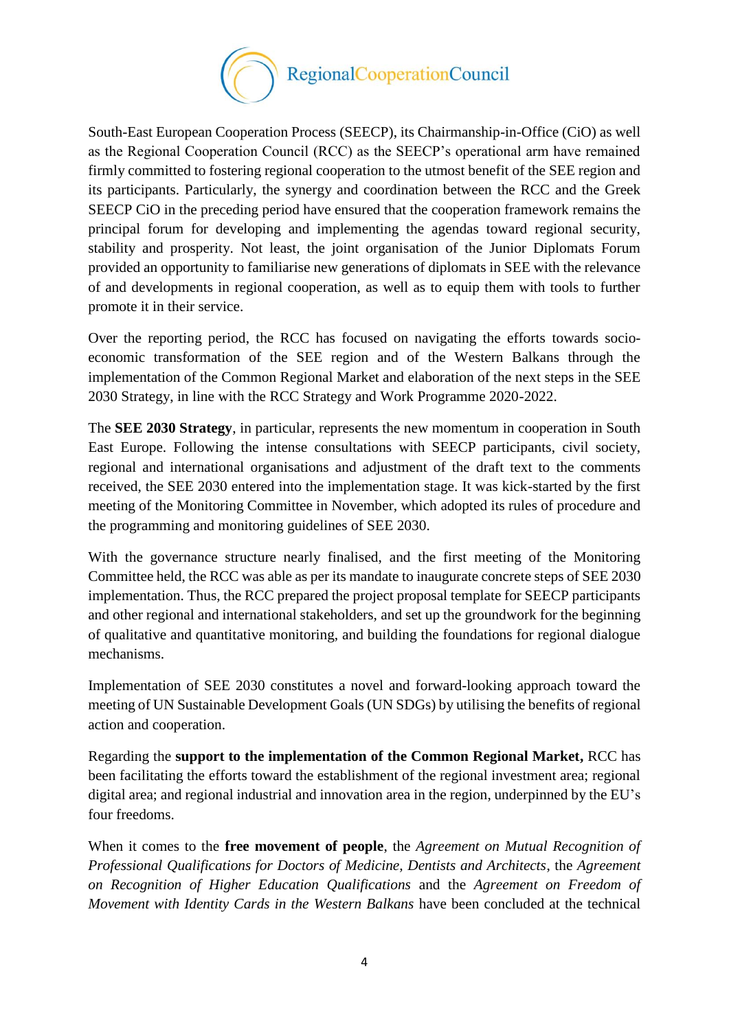

South-East European Cooperation Process (SEECP), its Chairmanship-in-Office (CiO) as well as the Regional Cooperation Council (RCC) as the SEECP's operational arm have remained firmly committed to fostering regional cooperation to the utmost benefit of the SEE region and its participants. Particularly, the synergy and coordination between the RCC and the Greek SEECP CiO in the preceding period have ensured that the cooperation framework remains the principal forum for developing and implementing the agendas toward regional security, stability and prosperity. Not least, the joint organisation of the Junior Diplomats Forum provided an opportunity to familiarise new generations of diplomats in SEE with the relevance of and developments in regional cooperation, as well as to equip them with tools to further promote it in their service.

Over the reporting period, the RCC has focused on navigating the efforts towards socioeconomic transformation of the SEE region and of the Western Balkans through the implementation of the Common Regional Market and elaboration of the next steps in the SEE 2030 Strategy, in line with the RCC Strategy and Work Programme 2020-2022.

The **SEE 2030 Strategy**, in particular, represents the new momentum in cooperation in South East Europe. Following the intense consultations with SEECP participants, civil society, regional and international organisations and adjustment of the draft text to the comments received, the SEE 2030 entered into the implementation stage. It was kick-started by the first meeting of the Monitoring Committee in November, which adopted its rules of procedure and the programming and monitoring guidelines of SEE 2030.

With the governance structure nearly finalised, and the first meeting of the Monitoring Committee held, the RCC was able as per its mandate to inaugurate concrete steps of SEE 2030 implementation. Thus, the RCC prepared the project proposal template for SEECP participants and other regional and international stakeholders, and set up the groundwork for the beginning of qualitative and quantitative monitoring, and building the foundations for regional dialogue mechanisms.

Implementation of SEE 2030 constitutes a novel and forward-looking approach toward the meeting of UN Sustainable Development Goals (UN SDGs) by utilising the benefits of regional action and cooperation.

Regarding the **support to the implementation of the Common Regional Market,** RCC has been facilitating the efforts toward the establishment of the regional investment area; regional digital area; and regional industrial and innovation area in the region, underpinned by the EU's four freedoms.

When it comes to the **free movement of people**, the *Agreement on Mutual Recognition of Professional Qualifications for Doctors of Medicine, Dentists and Architects*, the *Agreement on Recognition of Higher Education Qualifications* and the *Agreement on Freedom of Movement with Identity Cards in the Western Balkans* have been concluded at the technical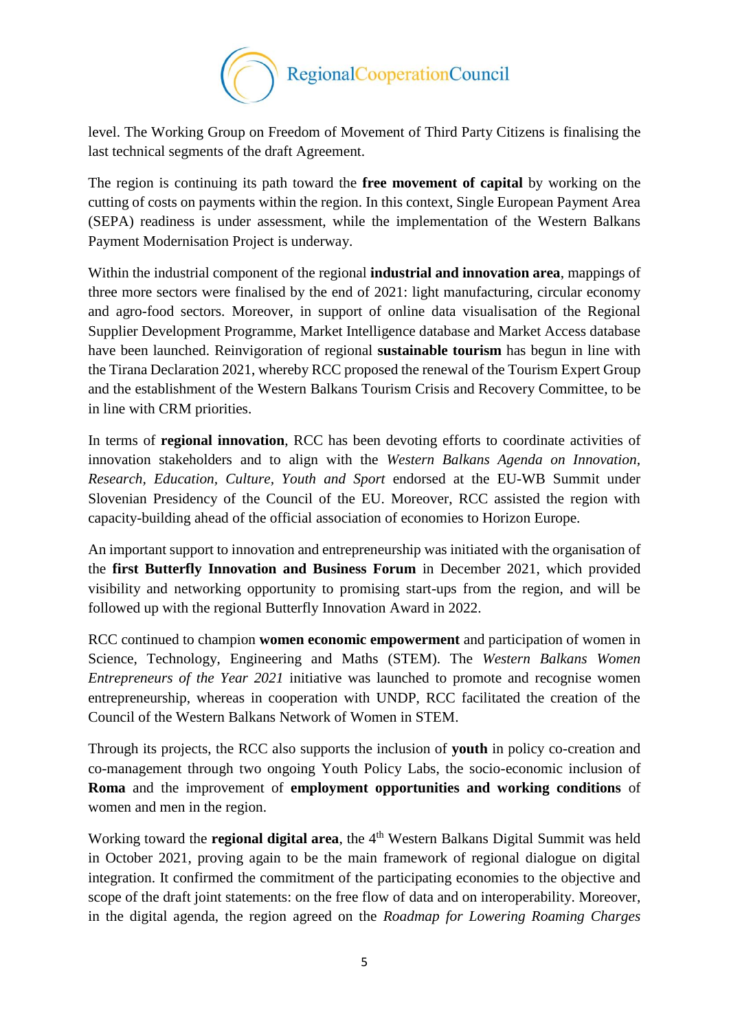

level. The Working Group on Freedom of Movement of Third Party Citizens is finalising the last technical segments of the draft Agreement.

The region is continuing its path toward the **free movement of capital** by working on the cutting of costs on payments within the region. In this context, Single European Payment Area (SEPA) readiness is under assessment, while the implementation of the Western Balkans Payment Modernisation Project is underway.

Within the industrial component of the regional **industrial and innovation area**, mappings of three more sectors were finalised by the end of 2021: light manufacturing, circular economy and agro-food sectors. Moreover, in support of online data visualisation of the Regional Supplier Development Programme, Market Intelligence database and Market Access database have been launched. Reinvigoration of regional **sustainable tourism** has begun in line with the Tirana Declaration 2021, whereby RCC proposed the renewal of the Tourism Expert Group and the establishment of the Western Balkans Tourism Crisis and Recovery Committee, to be in line with CRM priorities.

In terms of **regional innovation**, RCC has been devoting efforts to coordinate activities of innovation stakeholders and to align with the *Western Balkans Agenda on Innovation, Research, Education, Culture, Youth and Sport* endorsed at the EU-WB Summit under Slovenian Presidency of the Council of the EU. Moreover, RCC assisted the region with capacity-building ahead of the official association of economies to Horizon Europe.

An important support to innovation and entrepreneurship was initiated with the organisation of the **first Butterfly Innovation and Business Forum** in December 2021, which provided visibility and networking opportunity to promising start-ups from the region, and will be followed up with the regional Butterfly Innovation Award in 2022.

RCC continued to champion **women economic empowerment** and participation of women in Science, Technology, Engineering and Maths (STEM). The *Western Balkans Women Entrepreneurs of the Year 2021* initiative was launched to promote and recognise women entrepreneurship, whereas in cooperation with UNDP, RCC facilitated the creation of the Council of the Western Balkans Network of Women in STEM.

Through its projects, the RCC also supports the inclusion of **youth** in policy co-creation and co-management through two ongoing Youth Policy Labs, the socio-economic inclusion of **Roma** and the improvement of **employment opportunities and working conditions** of women and men in the region.

Working toward the **regional digital area**, the 4<sup>th</sup> Western Balkans Digital Summit was held in October 2021, proving again to be the main framework of regional dialogue on digital integration. It confirmed the commitment of the participating economies to the objective and scope of the draft joint statements: on the free flow of data and on interoperability. Moreover, in the digital agenda, the region agreed on the *Roadmap for Lowering Roaming Charges*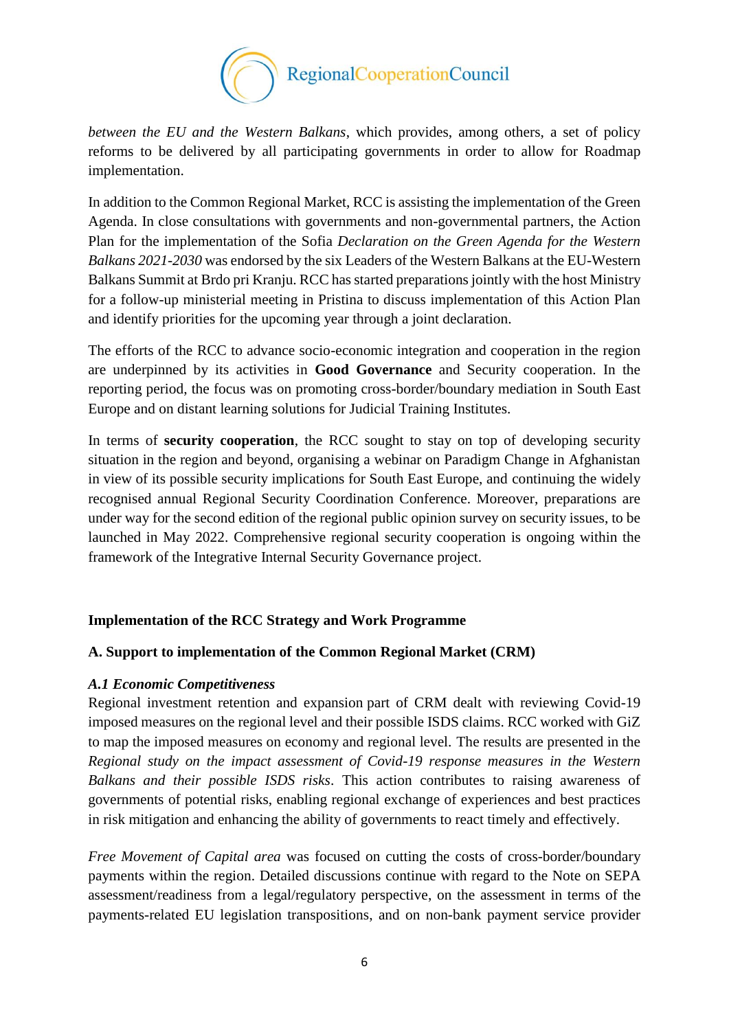

*between the EU and the Western Balkans*, which provides, among others, a set of policy reforms to be delivered by all participating governments in order to allow for Roadmap implementation.

In addition to the Common Regional Market, RCC is assisting the implementation of the Green Agenda. In close consultations with governments and non-governmental partners, the Action Plan for the implementation of the Sofia *Declaration on the Green Agenda for the Western Balkans 2021-2030* was endorsed by the six Leaders of the Western Balkans at the EU-Western Balkans Summit at Brdo pri Kranju. RCC has started preparations jointly with the host Ministry for a follow-up ministerial meeting in Pristina to discuss implementation of this Action Plan and identify priorities for the upcoming year through a joint declaration.

The efforts of the RCC to advance socio-economic integration and cooperation in the region are underpinned by its activities in **Good Governance** and Security cooperation. In the reporting period, the focus was on promoting cross-border/boundary mediation in South East Europe and on distant learning solutions for Judicial Training Institutes.

In terms of **security cooperation**, the RCC sought to stay on top of developing security situation in the region and beyond, organising a webinar on Paradigm Change in Afghanistan in view of its possible security implications for South East Europe, and continuing the widely recognised annual Regional Security Coordination Conference. Moreover, preparations are under way for the second edition of the regional public opinion survey on security issues, to be launched in May 2022. Comprehensive regional security cooperation is ongoing within the framework of the Integrative Internal Security Governance project.

## <span id="page-5-0"></span>**Implementation of the RCC Strategy and Work Programme**

## <span id="page-5-1"></span>**A. Support to implementation of the Common Regional Market (CRM)**

## *A.1 Economic Competitiveness*

Regional investment retention and expansion part of CRM dealt with reviewing Covid-19 imposed measures on the regional level and their possible ISDS claims. RCC worked with GiZ to map the imposed measures on economy and regional level. The results are presented in the *Regional study on the impact assessment of Covid-19 response measures in the Western Balkans and their possible ISDS risks*. This action contributes to raising awareness of governments of potential risks, enabling regional exchange of experiences and best practices in risk mitigation and enhancing the ability of governments to react timely and effectively.

*Free Movement of Capital area* was focused on cutting the costs of cross-border/boundary payments within the region. Detailed discussions continue with regard to the Note on SEPA assessment/readiness from a legal/regulatory perspective, on the assessment in terms of the payments-related EU legislation transpositions, and on non-bank payment service provider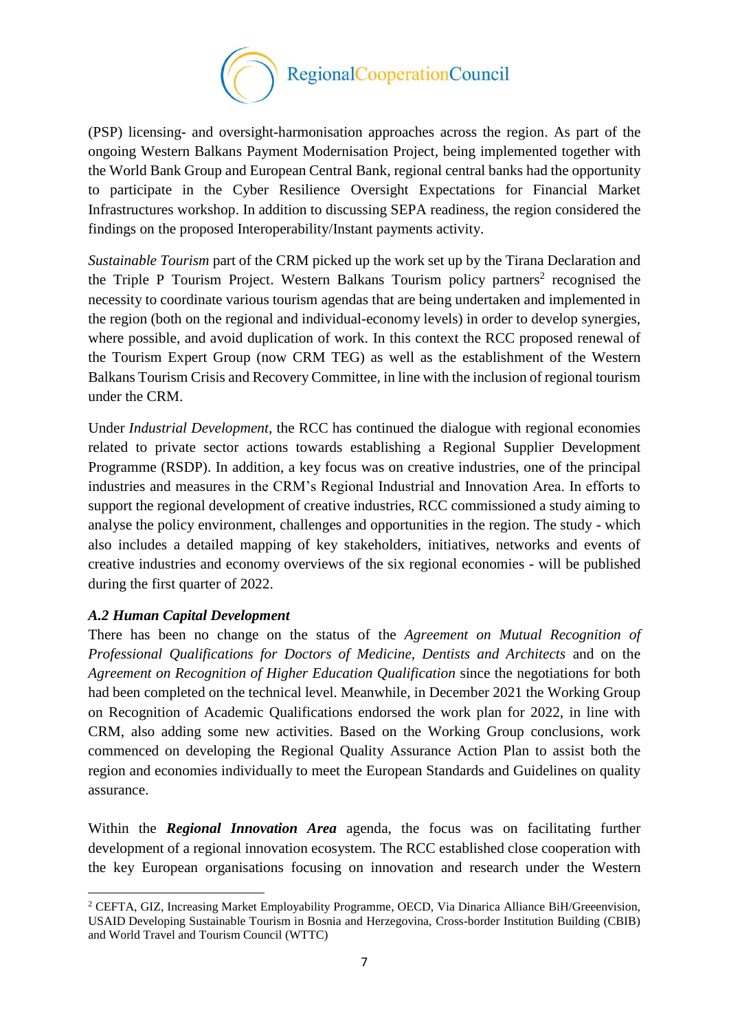

(PSP) licensing- and oversight-harmonisation approaches across the region. As part of the ongoing Western Balkans Payment Modernisation Project, being implemented together with the World Bank Group and European Central Bank, regional central banks had the opportunity to participate in the Cyber Resilience Oversight Expectations for Financial Market Infrastructures workshop. In addition to discussing SEPA readiness, the region considered the findings on the proposed Interoperability/Instant payments activity.

*Sustainable Tourism* part of the CRM picked up the work set up by the Tirana Declaration and the Triple P Tourism Project. Western Balkans Tourism policy partners<sup>2</sup> recognised the necessity to coordinate various tourism agendas that are being undertaken and implemented in the region (both on the regional and individual-economy levels) in order to develop synergies, where possible, and avoid duplication of work. In this context the RCC proposed renewal of the Tourism Expert Group (now CRM TEG) as well as the establishment of the Western Balkans Tourism Crisis and Recovery Committee, in line with the inclusion of regional tourism under the CRM.

Under *Industrial Development,* the RCC has continued the dialogue with regional economies related to private sector actions towards establishing a Regional Supplier Development Programme (RSDP). In addition, a key focus was on creative industries, one of the principal industries and measures in the CRM's Regional Industrial and Innovation Area. In efforts to support the regional development of creative industries, RCC commissioned a study aiming to analyse the policy environment, challenges and opportunities in the region. The study - which also includes a detailed mapping of key stakeholders, initiatives, networks and events of creative industries and economy overviews of the six regional economies - will be published during the first quarter of 2022.

## *A.2 Human Capital Development*

There has been no change on the status of the *Agreement on Mutual Recognition of Professional Qualifications for Doctors of Medicine, Dentists and Architects* and on the *Agreement on Recognition of Higher Education Qualification* since the negotiations for both had been completed on the technical level. Meanwhile, in December 2021 the Working Group on Recognition of Academic Qualifications endorsed the work plan for 2022, in line with CRM, also adding some new activities. Based on the Working Group conclusions, work commenced on developing the Regional Quality Assurance Action Plan to assist both the region and economies individually to meet the European Standards and Guidelines on quality assurance.

Within the *Regional Innovation Area* agenda, the focus was on facilitating further development of a regional innovation ecosystem. The RCC established close cooperation with the key European organisations focusing on innovation and research under the Western

 $\overline{\phantom{a}}$ <sup>2</sup> CEFTA, GIZ, Increasing Market Employability Programme, OECD, Via Dinarica Alliance BiH/Greeenvision, USAID Developing Sustainable Tourism in Bosnia and Herzegovina, Cross-border Institution Building (CBIB) and World Travel and Tourism Council (WTTC)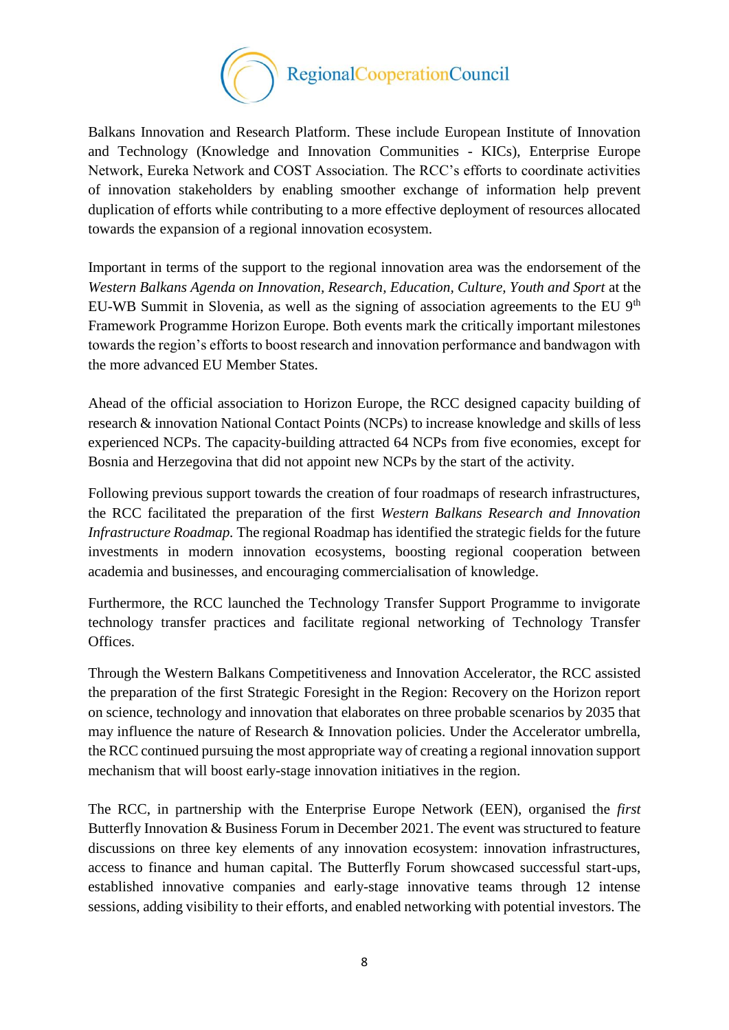

Balkans Innovation and Research Platform. These include European Institute of Innovation and Technology (Knowledge and Innovation Communities - KICs), Enterprise Europe Network, Eureka Network and COST Association. The RCC's efforts to coordinate activities of innovation stakeholders by enabling smoother exchange of information help prevent duplication of efforts while contributing to a more effective deployment of resources allocated towards the expansion of a regional innovation ecosystem.

Important in terms of the support to the regional innovation area was the endorsement of the *Western Balkans Agenda on Innovation, Research, Education, Culture, Youth and Sport* at the EU-WB Summit in Slovenia, as well as the signing of association agreements to the EU  $9<sup>th</sup>$ Framework Programme Horizon Europe. Both events mark the critically important milestones towards the region's efforts to boost research and innovation performance and bandwagon with the more advanced EU Member States.

Ahead of the official association to Horizon Europe, the RCC designed capacity building of research & innovation National Contact Points (NCPs) to increase knowledge and skills of less experienced NCPs. The capacity-building attracted 64 NCPs from five economies, except for Bosnia and Herzegovina that did not appoint new NCPs by the start of the activity.

Following previous support towards the creation of four roadmaps of research infrastructures, the RCC facilitated the preparation of the first *Western Balkans Research and Innovation Infrastructure Roadmap.* The regional Roadmap has identified the strategic fields for the future investments in modern innovation ecosystems, boosting regional cooperation between academia and businesses, and encouraging commercialisation of knowledge.

Furthermore, the RCC launched the Technology Transfer Support Programme to invigorate technology transfer practices and facilitate regional networking of Technology Transfer Offices.

Through the Western Balkans Competitiveness and Innovation Accelerator, the RCC assisted the preparation of the first Strategic Foresight in the Region: Recovery on the Horizon report on science, technology and innovation that elaborates on three probable scenarios by 2035 that may influence the nature of Research & Innovation policies. Under the Accelerator umbrella, the RCC continued pursuing the most appropriate way of creating a regional innovation support mechanism that will boost early-stage innovation initiatives in the region.

The RCC, in partnership with the Enterprise Europe Network (EEN), organised the *first*  Butterfly Innovation & Business Forum in December 2021. The event was structured to feature discussions on three key elements of any innovation ecosystem: innovation infrastructures, access to finance and human capital. The Butterfly Forum showcased successful start-ups, established innovative companies and early-stage innovative teams through 12 intense sessions, adding visibility to their efforts, and enabled networking with potential investors. The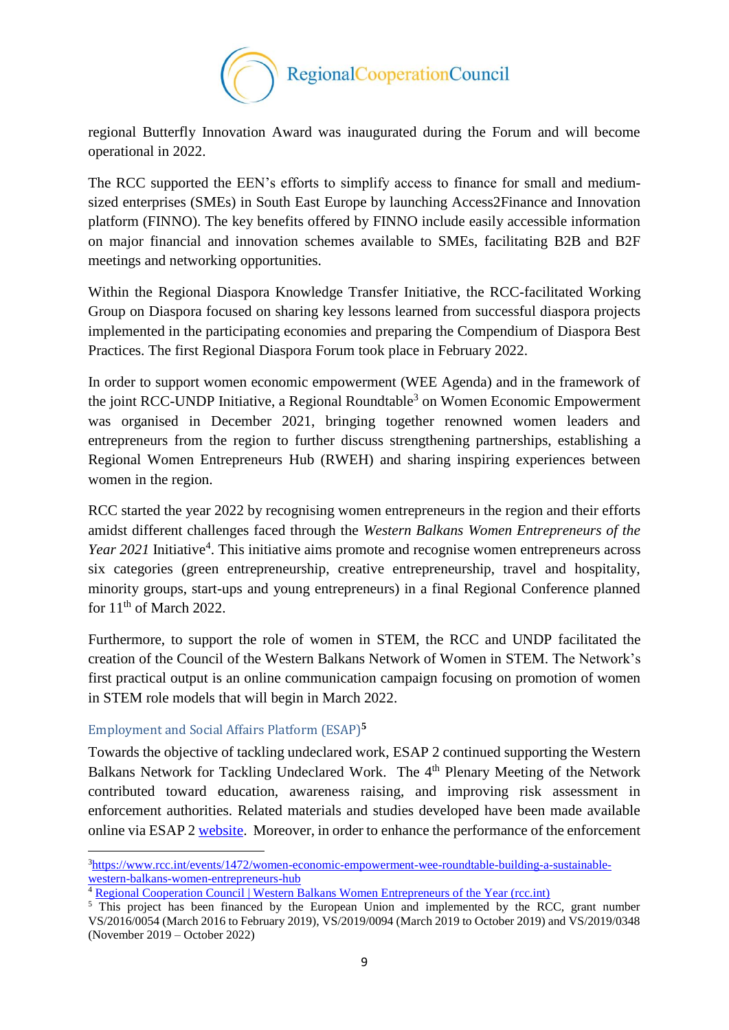

regional Butterfly Innovation Award was inaugurated during the Forum and will become operational in 2022.

The RCC supported the EEN's efforts to simplify access to finance for small and mediumsized enterprises (SMEs) in South East Europe by launching Access2Finance and Innovation platform (FINNO). The key benefits offered by FINNO include easily accessible information on major financial and innovation schemes available to SMEs, facilitating B2B and B2F meetings and networking opportunities.

Within the Regional Diaspora Knowledge Transfer Initiative*,* the RCC-facilitated Working Group on Diaspora focused on sharing key lessons learned from successful diaspora projects implemented in the participating economies and preparing the Compendium of Diaspora Best Practices. The first Regional Diaspora Forum took place in February 2022.

In order to support women economic empowerment (WEE Agenda) and in the framework of the joint RCC-UNDP Initiative, a Regional Roundtable<sup>3</sup> on Women Economic Empowerment was organised in December 2021, bringing together renowned women leaders and entrepreneurs from the region to further discuss strengthening partnerships, establishing a Regional Women Entrepreneurs Hub (RWEH) and sharing inspiring experiences between women in the region.

RCC started the year 2022 by recognising women entrepreneurs in the region and their efforts amidst different challenges faced through the *Western Balkans Women Entrepreneurs of the*  Year 2021 Initiative<sup>4</sup>. This initiative aims promote and recognise women entrepreneurs across six categories (green entrepreneurship, creative entrepreneurship, travel and hospitality, minority groups, start-ups and young entrepreneurs) in a final Regional Conference planned for  $11<sup>th</sup>$  of March 2022.

Furthermore, to support the role of women in STEM, the RCC and UNDP facilitated the creation of the Council of the Western Balkans Network of Women in STEM. The Network's first practical output is an online communication campaign focusing on promotion of women in STEM role models that will begin in March 2022.

## Employment and Social Affairs Platform (ESAP)**<sup>5</sup>**

**.** 

Towards the objective of tackling undeclared work, ESAP 2 continued supporting the Western Balkans Network for Tackling Undeclared Work. The 4<sup>th</sup> Plenary Meeting of the Network contributed toward education, awareness raising, and improving risk assessment in enforcement authorities. Related materials and studies developed have been made available online via ESAP 2 [website.](https://www.esap.online/) Moreover, in order to enhance the performance of the enforcement

<sup>3</sup>[https://www.rcc.int/events/1472/women-economic-empowerment-wee-roundtable-building-a-sustainable](https://www.rcc.int/events/1472/women-economic-empowerment-wee-roundtable-building-a-sustainable-western-balkans-women-entrepreneurs-hub)[western-balkans-women-entrepreneurs-hub](https://www.rcc.int/events/1472/women-economic-empowerment-wee-roundtable-building-a-sustainable-western-balkans-women-entrepreneurs-hub)

<sup>&</sup>lt;sup>4</sup> [Regional Cooperation Council | Western Balkans Women Entrepreneurs of the Year \(rcc.int\)](https://www.rcc.int/women-entrepreneurs-of-the-year)

<sup>&</sup>lt;sup>5</sup> This project has been financed by the European Union and implemented by the RCC, grant number VS/2016/0054 (March 2016 to February 2019), VS/2019/0094 (March 2019 to October 2019) and VS/2019/0348 (November 2019 – October 2022)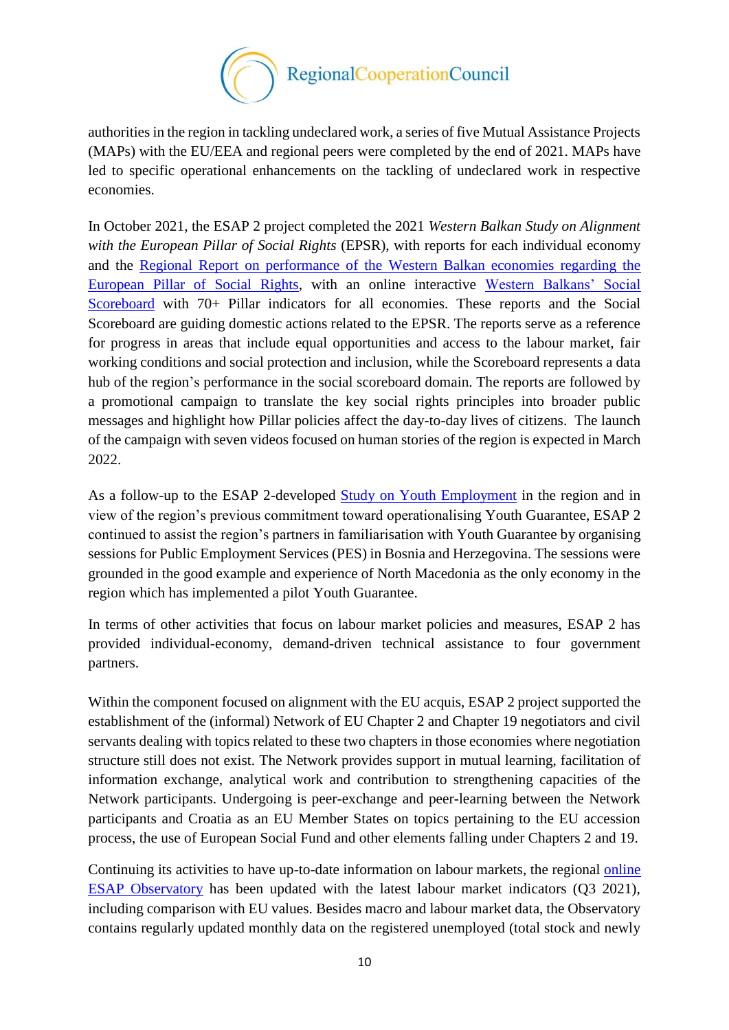

authorities in the region in tackling undeclared work, a series of five Mutual Assistance Projects (MAPs) with the EU/EEA and regional peers were completed by the end of 2021. MAPs have led to specific operational enhancements on the tackling of undeclared work in respective economies.

In October 2021, the ESAP 2 project completed the 2021 *Western Balkan Study on Alignment with the European Pillar of Social Rights* (EPSR), with reports for each individual economy and the [Regional Report on performance of the Western Balkan economies regarding the](https://www.esap.online/docs/155/regional-overview-of-western-balkan-economies-regarding-the-european-pillar-of-social-rights-2021rn)  [European Pillar of Social Rights,](https://www.esap.online/docs/155/regional-overview-of-western-balkan-economies-regarding-the-european-pillar-of-social-rights-2021rn) with an online interactive [Western Balkans' Social](https://www.esap.online/social_scoreboard/)  [Scoreboard](https://www.esap.online/social_scoreboard/) with 70+ Pillar indicators for all economies. These reports and the Social Scoreboard are guiding domestic actions related to the EPSR. The reports serve as a reference for progress in areas that include equal opportunities and access to the labour market, fair working conditions and social protection and inclusion, while the Scoreboard represents a data hub of the region's performance in the social scoreboard domain. The reports are followed by a promotional campaign to translate the key social rights principles into broader public messages and highlight how Pillar policies affect the day-to-day lives of citizens. The launch of the campaign with seven videos focused on human stories of the region is expected in March 2022.

As a follow-up to the ESAP 2-developed Study on [Youth Employment](https://www.esap.online/docs/126/study-on-youth-employment-in-the-western-balkans) in the region and in view of the region's previous commitment toward operationalising Youth Guarantee, ESAP 2 continued to assist the region's partners in familiarisation with Youth Guarantee by organising sessions for Public Employment Services (PES) in Bosnia and Herzegovina. The sessions were grounded in the good example and experience of North Macedonia as the only economy in the region which has implemented a pilot Youth Guarantee.

In terms of other activities that focus on labour market policies and measures, ESAP 2 has provided individual-economy, demand-driven technical assistance to four government partners.

Within the component focused on alignment with the EU acquis, ESAP 2 project supported the establishment of the (informal) Network of EU Chapter 2 and Chapter 19 negotiators and civil servants dealing with topics related to these two chapters in those economies where negotiation structure still does not exist. The Network provides support in mutual learning, facilitation of information exchange, analytical work and contribution to strengthening capacities of the Network participants. Undergoing is peer-exchange and peer-learning between the Network participants and Croatia as an EU Member States on topics pertaining to the EU accession process, the use of European Social Fund and other elements falling under Chapters 2 and 19.

Continuing its activities to have up-to-date information on labour markets, the regional [online](https://www.esap.online/observatory/)  [ESAP Observatory](https://www.esap.online/observatory/) has been updated with the latest labour market indicators (Q3 2021), including comparison with EU values. Besides macro and labour market data, the Observatory contains regularly updated monthly data on the registered unemployed (total stock and newly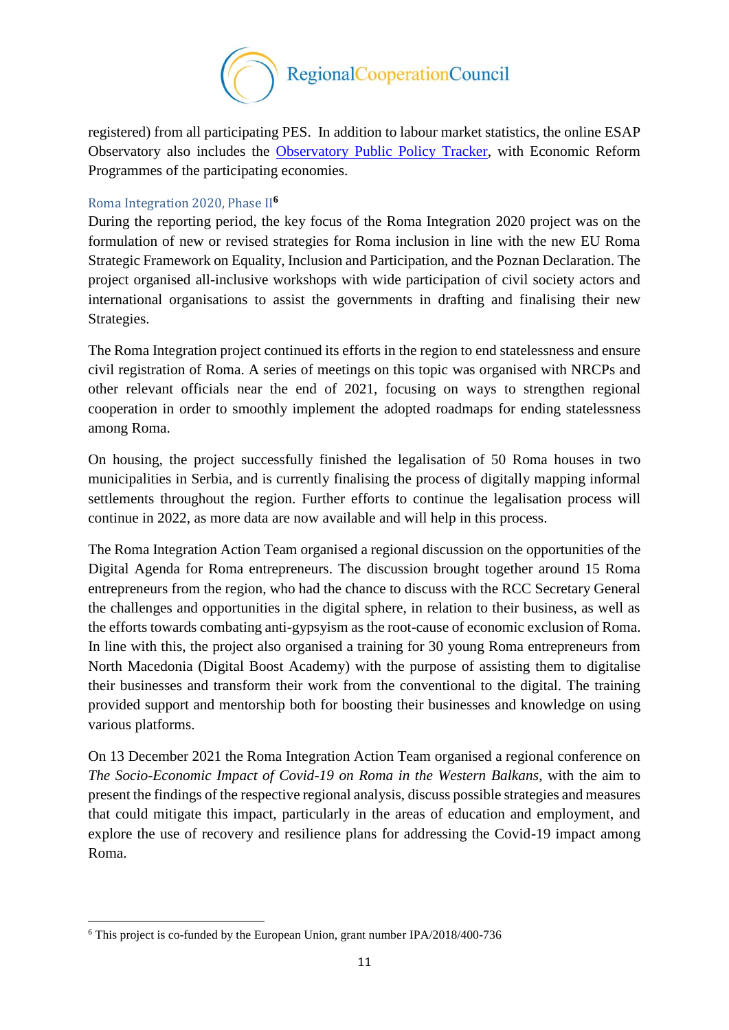

registered) from all participating PES. In addition to labour market statistics, the online ESAP Observatory also includes the [Observatory Public Policy Tracker,](https://www.esap.online/observatory/measures_all?search_measures1=1&search_measures2=2) with Economic Reform Programmes of the participating economies.

#### Roma Integration 2020, Phase II**<sup>6</sup>**

During the reporting period, the key focus of the Roma Integration 2020 project was on the formulation of new or revised strategies for Roma inclusion in line with the new EU Roma Strategic Framework on Equality, Inclusion and Participation, and the Poznan Declaration. The project organised all-inclusive workshops with wide participation of civil society actors and international organisations to assist the governments in drafting and finalising their new Strategies.

The Roma Integration project continued its efforts in the region to end statelessness and ensure civil registration of Roma. A series of meetings on this topic was organised with NRCPs and other relevant officials near the end of 2021, focusing on ways to strengthen regional cooperation in order to smoothly implement the adopted roadmaps for ending statelessness among Roma.

On housing, the project successfully finished the legalisation of 50 Roma houses in two municipalities in Serbia, and is currently finalising the process of digitally mapping informal settlements throughout the region. Further efforts to continue the legalisation process will continue in 2022, as more data are now available and will help in this process.

The Roma Integration Action Team organised a regional discussion on the opportunities of the Digital Agenda for Roma entrepreneurs. The discussion brought together around 15 Roma entrepreneurs from the region, who had the chance to discuss with the RCC Secretary General the challenges and opportunities in the digital sphere, in relation to their business, as well as the efforts towards combating anti-gypsyism as the root-cause of economic exclusion of Roma. In line with this, the project also organised a training for 30 young Roma entrepreneurs from North Macedonia (Digital Boost Academy) with the purpose of assisting them to digitalise their businesses and transform their work from the conventional to the digital. The training provided support and mentorship both for boosting their businesses and knowledge on using various platforms.

On 13 December 2021 the Roma Integration Action Team organised a regional conference on *The Socio-Economic Impact of Covid-19 on Roma in the Western Balkans*, with the aim to present the findings of the respective regional analysis, discuss possible strategies and measures that could mitigate this impact, particularly in the areas of education and employment, and explore the use of recovery and resilience plans for addressing the Covid-19 impact among Roma.

**.** 

<sup>6</sup> This project is co-funded by the European Union, grant number IPA/2018/400-736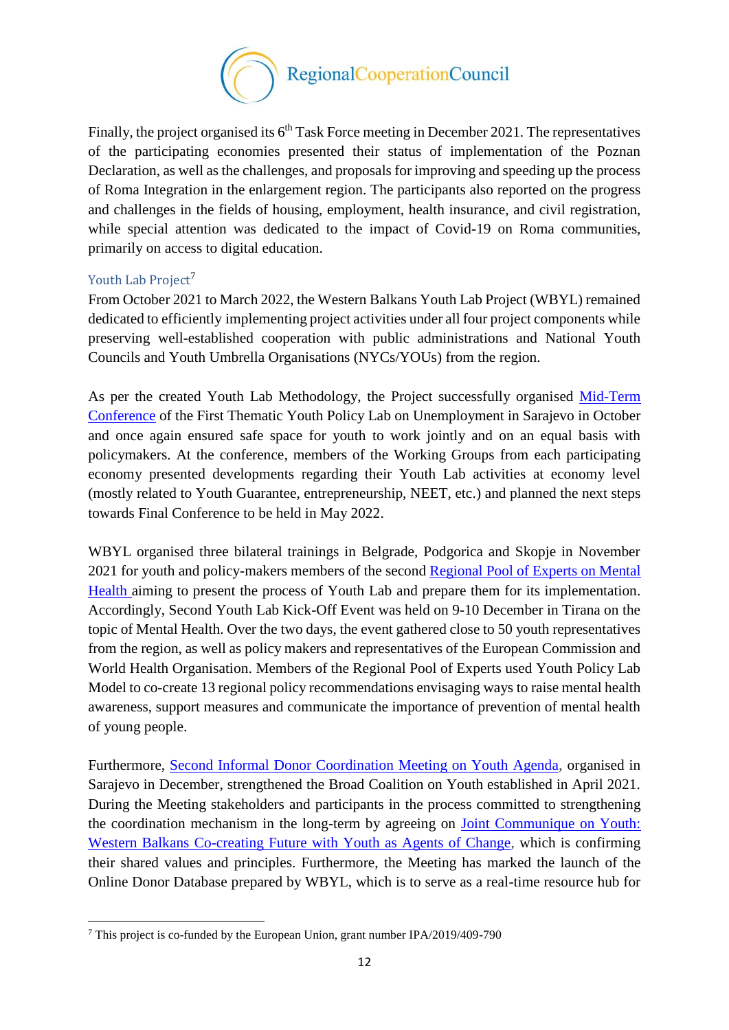

Finally, the project organised its  $6<sup>th</sup>$  Task Force meeting in December 2021. The representatives of the participating economies presented their status of implementation of the Poznan Declaration, as well as the challenges, and proposals for improving and speeding up the process of Roma Integration in the enlargement region. The participants also reported on the progress and challenges in the fields of housing, employment, health insurance, and civil registration, while special attention was dedicated to the impact of Covid-19 on Roma communities, primarily on access to digital education.

#### Youth Lab Project<sup>7</sup>

**.** 

From October 2021 to March 2022, the Western Balkans Youth Lab Project (WBYL) remained dedicated to efficiently implementing project activities under all four project components while preserving well-established cooperation with public administrations and National Youth Councils and Youth Umbrella Organisations (NYCs/YOUs) from the region.

As per the created Youth Lab Methodology, the Project successfully organised [Mid-Term](https://www.rcc.int/news/734/youth-tailored-solutions-require-youth-participation)  [Conference](https://www.rcc.int/news/734/youth-tailored-solutions-require-youth-participation) of the First Thematic Youth Policy Lab on Unemployment in Sarajevo in October and once again ensured safe space for youth to work jointly and on an equal basis with policymakers. At the conference, members of the Working Groups from each participating economy presented developments regarding their Youth Lab activities at economy level (mostly related to Youth Guarantee, entrepreneurship, NEET, etc.) and planned the next steps towards Final Conference to be held in May 2022.

WBYL organised three bilateral trainings in Belgrade, Podgorica and Skopje in November 2021 for youth and policy-makers members of the second Regional Pool of Experts on Mental [Health](https://www.rcc.int/pubs/131/wbyl-youth-policy-lab-on-mental-health--regional-pool-of-experts) aiming to present the process of Youth Lab and prepare them for its implementation. Accordingly, Second Youth Lab Kick-Off Event was held on 9-10 December in Tirana on the topic of Mental Health. Over the two days, the event gathered close to 50 youth representatives from the region, as well as policy makers and representatives of the European Commission and World Health Organisation. Members of the Regional Pool of Experts used Youth Policy Lab Model to co-create 13 regional policy recommendations envisaging ways to raise mental health awareness, support measures and communicate the importance of prevention of mental health of young people.

Furthermore, [Second Informal Donor Coordination Meeting on Youth Agenda,](https://www.rcc.int/news/745/second-informal-donor-coordination-meeting-on-western-balkans-youth-agenda-held-in-sarajevo) organised in Sarajevo in December, strengthened the Broad Coalition on Youth established in April 2021. During the Meeting stakeholders and participants in the process committed to strengthening the coordination mechanism in the long-term by agreeing on [Joint Communique on Youth:](https://www.rcc.int/docs/607/joint-communique-on-youth-western-balkans-co-creating-future-with-youth-as-agents-of-change)  [Western Balkans Co-creating Future with Youth as Agents of Change,](https://www.rcc.int/docs/607/joint-communique-on-youth-western-balkans-co-creating-future-with-youth-as-agents-of-change) which is confirming their shared values and principles. Furthermore, the Meeting has marked the launch of the Online Donor Database prepared by WBYL, which is to serve as a real-time resource hub for

<sup>7</sup> This project is co-funded by the European Union, grant number IPA/2019/409-790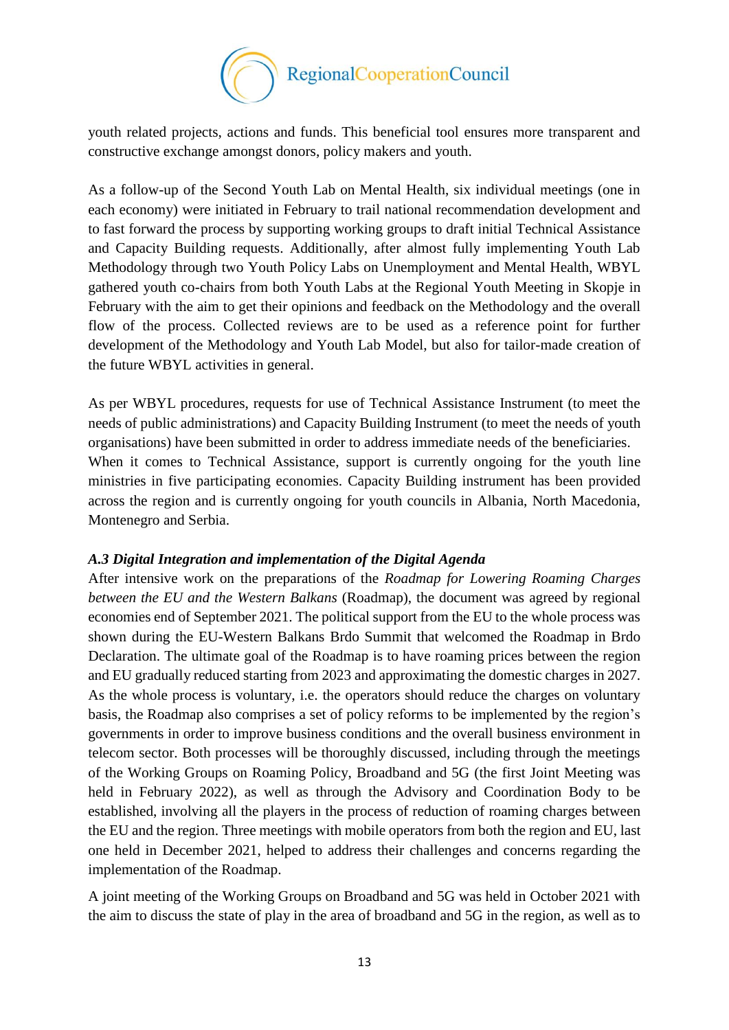

youth related projects, actions and funds. This beneficial tool ensures more transparent and constructive exchange amongst donors, policy makers and youth.

As a follow-up of the Second Youth Lab on Mental Health, six individual meetings (one in each economy) were initiated in February to trail national recommendation development and to fast forward the process by supporting working groups to draft initial Technical Assistance and Capacity Building requests. Additionally, after almost fully implementing Youth Lab Methodology through two Youth Policy Labs on Unemployment and Mental Health, WBYL gathered youth co-chairs from both Youth Labs at the Regional Youth Meeting in Skopje in February with the aim to get their opinions and feedback on the Methodology and the overall flow of the process. Collected reviews are to be used as a reference point for further development of the Methodology and Youth Lab Model, but also for tailor-made creation of the future WBYL activities in general.

As per WBYL procedures, requests for use of Technical Assistance Instrument (to meet the needs of public administrations) and Capacity Building Instrument (to meet the needs of youth organisations) have been submitted in order to address immediate needs of the beneficiaries. When it comes to Technical Assistance, support is currently ongoing for the youth line ministries in five participating economies. Capacity Building instrument has been provided across the region and is currently ongoing for youth councils in Albania, North Macedonia, Montenegro and Serbia.

#### *A.3 Digital Integration and implementation of the Digital Agenda*

After intensive work on the preparations of the *Roadmap for Lowering Roaming Charges between the EU and the Western Balkans* (Roadmap), the document was agreed by regional economies end of September 2021. The political support from the EU to the whole process was shown during the EU-Western Balkans Brdo Summit that welcomed the Roadmap in Brdo Declaration. The ultimate goal of the Roadmap is to have roaming prices between the region and EU gradually reduced starting from 2023 and approximating the domestic charges in 2027. As the whole process is voluntary, i.e. the operators should reduce the charges on voluntary basis, the Roadmap also comprises a set of policy reforms to be implemented by the region's governments in order to improve business conditions and the overall business environment in telecom sector. Both processes will be thoroughly discussed, including through the meetings of the Working Groups on Roaming Policy, Broadband and 5G (the first Joint Meeting was held in February 2022), as well as through the Advisory and Coordination Body to be established, involving all the players in the process of reduction of roaming charges between the EU and the region. Three meetings with mobile operators from both the region and EU, last one held in December 2021, helped to address their challenges and concerns regarding the implementation of the Roadmap.

A joint meeting of the Working Groups on Broadband and 5G was held in October 2021 with the aim to discuss the state of play in the area of broadband and 5G in the region, as well as to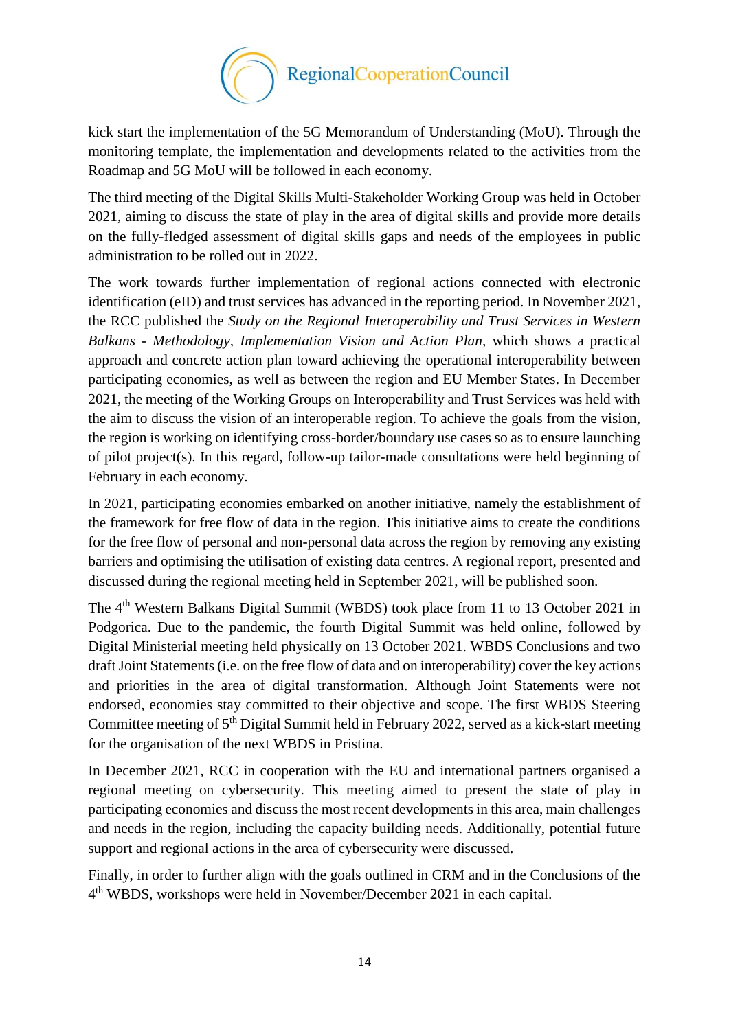

kick start the implementation of the 5G Memorandum of Understanding (MoU). Through the monitoring template, the implementation and developments related to the activities from the Roadmap and 5G MoU will be followed in each economy.

The third meeting of the Digital Skills Multi-Stakeholder Working Group was held in October 2021, aiming to discuss the state of play in the area of digital skills and provide more details on the fully-fledged assessment of digital skills gaps and needs of the employees in public administration to be rolled out in 2022.

The work towards further implementation of regional actions connected with electronic identification (eID) and trust services has advanced in the reporting period. In November 2021, the RCC published the *Study on the [Regional Interoperability and Trust Services in Western](https://www.rcc.int/pubs/132/regional-interoperability-and-trust-services-in-western-balkans--methodology-implementation-vision-and-action-plan)  Balkans - [Methodology, Implementation Vision and Action Plan,](https://www.rcc.int/pubs/132/regional-interoperability-and-trust-services-in-western-balkans--methodology-implementation-vision-and-action-plan)* which shows a practical approach and concrete action plan toward achieving the operational interoperability between participating economies, as well as between the region and EU Member States. In December 2021, the meeting of the Working Groups on Interoperability and Trust Services was held with the aim to discuss the vision of an interoperable region. To achieve the goals from the vision, the region is working on identifying cross-border/boundary use cases so as to ensure launching of pilot project(s). In this regard, follow-up tailor-made consultations were held beginning of February in each economy.

In 2021, participating economies embarked on another initiative, namely the establishment of the framework for free flow of data in the region. This initiative aims to create the conditions for the free flow of personal and non-personal data across the region by removing any existing barriers and optimising the utilisation of existing data centres. A regional report, presented and discussed during the regional meeting held in September 2021, will be published soon.

The 4<sup>th</sup> Western Balkans Digital Summit (WBDS) took place from 11 to 13 October 2021 in Podgorica. Due to the pandemic, the fourth Digital Summit was held online, followed by Digital Ministerial meeting held physically on 13 October 2021. WBDS Conclusions and two draft Joint Statements (i.e. on the free flow of data and on interoperability) cover the key actions and priorities in the area of digital transformation. Although Joint Statements were not endorsed, economies stay committed to their objective and scope. The first WBDS Steering Committee meeting of 5<sup>th</sup> Digital Summit held in February 2022, served as a kick-start meeting for the organisation of the next WBDS in Pristina.

In December 2021, RCC in cooperation with the EU and international partners organised a regional meeting on cybersecurity. This meeting aimed to present the state of play in participating economies and discuss the most recent developments in this area, main challenges and needs in the region, including the capacity building needs. Additionally, potential future support and regional actions in the area of cybersecurity were discussed.

Finally, in order to further align with the goals outlined in CRM and in the Conclusions of the 4 th WBDS, workshops were held in November/December 2021 in each capital.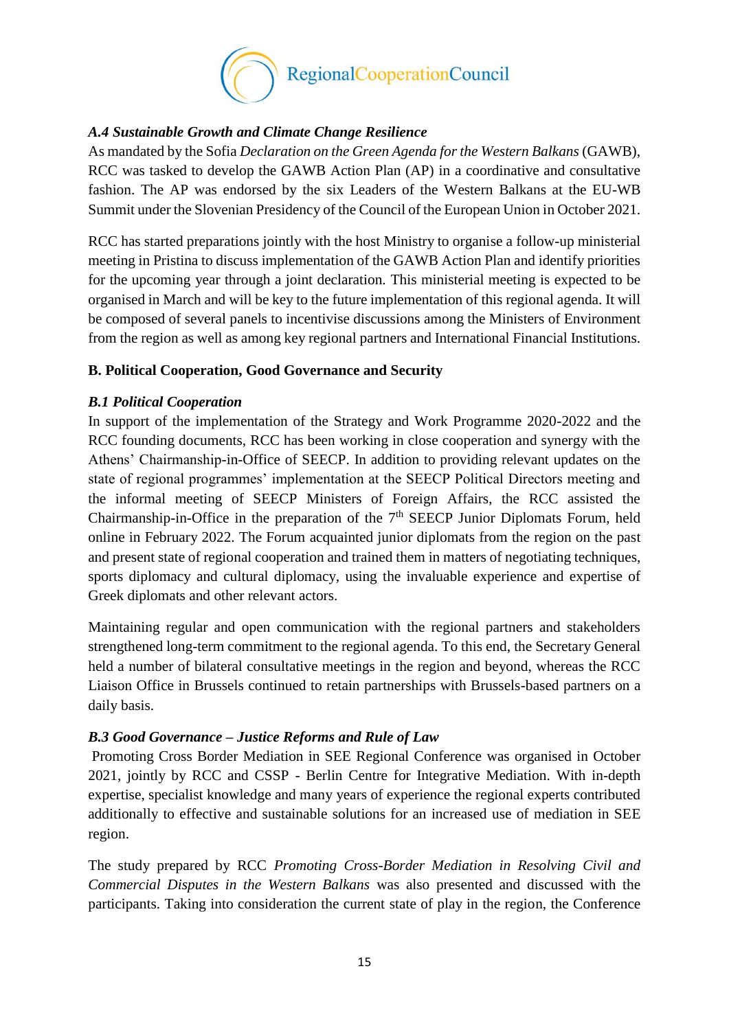

## *A.4 Sustainable Growth and Climate Change Resilience*

As mandated by the Sofia *Declaration on the Green Agenda for the Western Balkans* (GAWB), RCC was tasked to develop the GAWB Action Plan (AP) in a coordinative and consultative fashion. The AP was endorsed by the six Leaders of the Western Balkans at the EU-WB Summit under the Slovenian Presidency of the Council of the European Union in October 2021.

RCC has started preparations jointly with the host Ministry to organise a follow-up ministerial meeting in Pristina to discuss implementation of the GAWB Action Plan and identify priorities for the upcoming year through a joint declaration. This ministerial meeting is expected to be organised in March and will be key to the future implementation of this regional agenda. It will be composed of several panels to incentivise discussions among the Ministers of Environment from the region as well as among key regional partners and International Financial Institutions.

## <span id="page-14-0"></span>**B. Political Cooperation, Good Governance and Security**

## *B.1 Political Cooperation*

In support of the implementation of the Strategy and Work Programme 2020-2022 and the RCC founding documents, RCC has been working in close cooperation and synergy with the Athens' Chairmanship-in-Office of SEECP. In addition to providing relevant updates on the state of regional programmes' implementation at the SEECP Political Directors meeting and the informal meeting of SEECP Ministers of Foreign Affairs, the RCC assisted the Chairmanship-in-Office in the preparation of the  $7<sup>th</sup>$  SEECP Junior Diplomats Forum, held online in February 2022. The Forum acquainted junior diplomats from the region on the past and present state of regional cooperation and trained them in matters of negotiating techniques, sports diplomacy and cultural diplomacy, using the invaluable experience and expertise of Greek diplomats and other relevant actors.

Maintaining regular and open communication with the regional partners and stakeholders strengthened long-term commitment to the regional agenda. To this end, the Secretary General held a number of bilateral consultative meetings in the region and beyond, whereas the RCC Liaison Office in Brussels continued to retain partnerships with Brussels-based partners on a daily basis.

## *B.3 Good Governance – Justice Reforms and Rule of Law*

Promoting Cross Border Mediation in SEE Regional Conference was organised in October 2021, jointly by RCC and CSSP - Berlin Centre for Integrative Mediation. With in-depth expertise, specialist knowledge and many years of experience the regional experts contributed additionally to effective and sustainable solutions for an increased use of mediation in SEE region.

The study prepared by RCC *Promoting Cross-Border Mediation in Resolving Civil and Commercial Disputes in the Western Balkans* was also presented and discussed with the participants. Taking into consideration the current state of play in the region, the Conference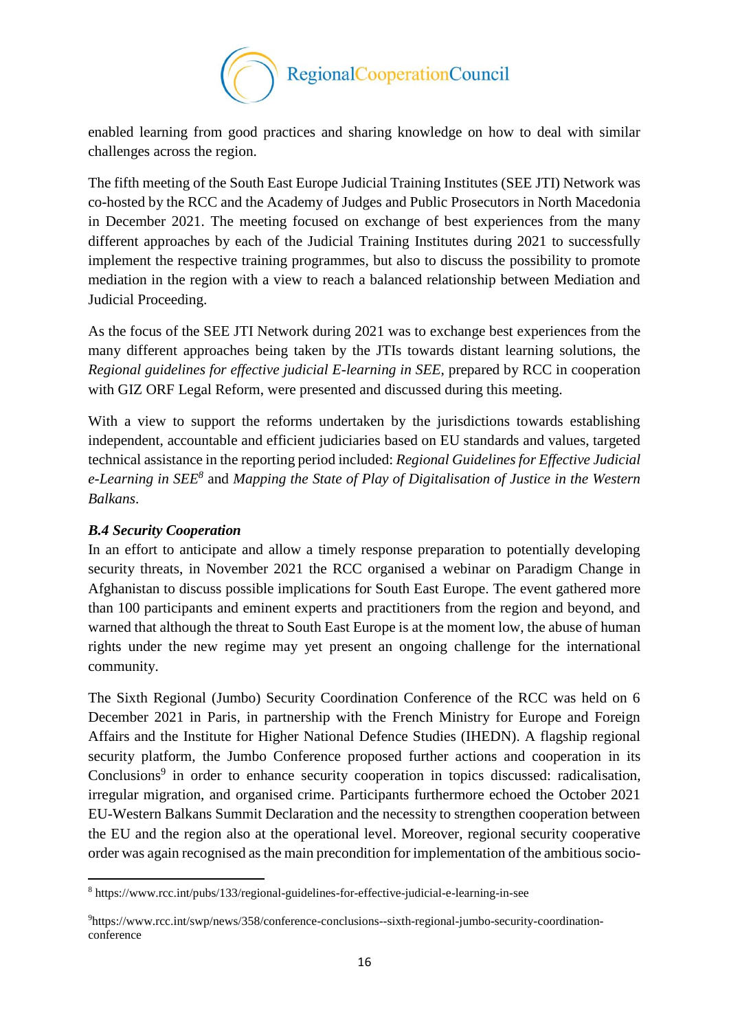

enabled learning from good practices and sharing knowledge on how to deal with similar challenges across the region.

The fifth meeting of the South East Europe Judicial Training Institutes (SEE JTI) Network was co-hosted by the RCC and the Academy of Judges and Public Prosecutors in North Macedonia in December 2021. The meeting focused on exchange of best experiences from the many different approaches by each of the Judicial Training Institutes during 2021 to successfully implement the respective training programmes, but also to discuss the possibility to promote mediation in the region with a view to reach a balanced relationship between Mediation and Judicial Proceeding.

As the focus of the SEE JTI Network during 2021 was to exchange best experiences from the many different approaches being taken by the JTIs towards distant learning solutions, the *Regional guidelines for effective judicial E-learning in SEE*, prepared by RCC in cooperation with GIZ ORF Legal Reform, were presented and discussed during this meeting.

With a view to support the reforms undertaken by the jurisdictions towards establishing independent, accountable and efficient judiciaries based on EU standards and values, targeted technical assistance in the reporting period included: *Regional Guidelines for Effective Judicial e-Learning in SEE<sup>8</sup>* and *Mapping the State of Play of Digitalisation of Justice in the Western Balkans*.

## *B.4 Security Cooperation*

 $\overline{\phantom{a}}$ 

In an effort to anticipate and allow a timely response preparation to potentially developing security threats, in November 2021 the RCC organised a webinar on Paradigm Change in Afghanistan to discuss possible implications for South East Europe. The event gathered more than 100 participants and eminent experts and practitioners from the region and beyond, and warned that although the threat to South East Europe is at the moment low, the abuse of human rights under the new regime may yet present an ongoing challenge for the international community.

The Sixth Regional (Jumbo) Security Coordination Conference of the RCC was held on 6 December 2021 in Paris, in partnership with the French Ministry for Europe and Foreign Affairs and the Institute for Higher National Defence Studies (IHEDN). A flagship regional security platform, the Jumbo Conference proposed further actions and cooperation in its Conclusions<sup>9</sup> in order to enhance security cooperation in topics discussed: radicalisation, irregular migration, and organised crime. Participants furthermore echoed the October 2021 EU-Western Balkans Summit Declaration and the necessity to strengthen cooperation between the EU and the region also at the operational level. Moreover, regional security cooperative order was again recognised as the main precondition for implementation of the ambitious socio-

<sup>8</sup> https://www.rcc.int/pubs/133/regional-guidelines-for-effective-judicial-e-learning-in-see

<sup>9</sup>https://www.rcc.int/swp/news/358/conference-conclusions--sixth-regional-jumbo-security-coordinationconference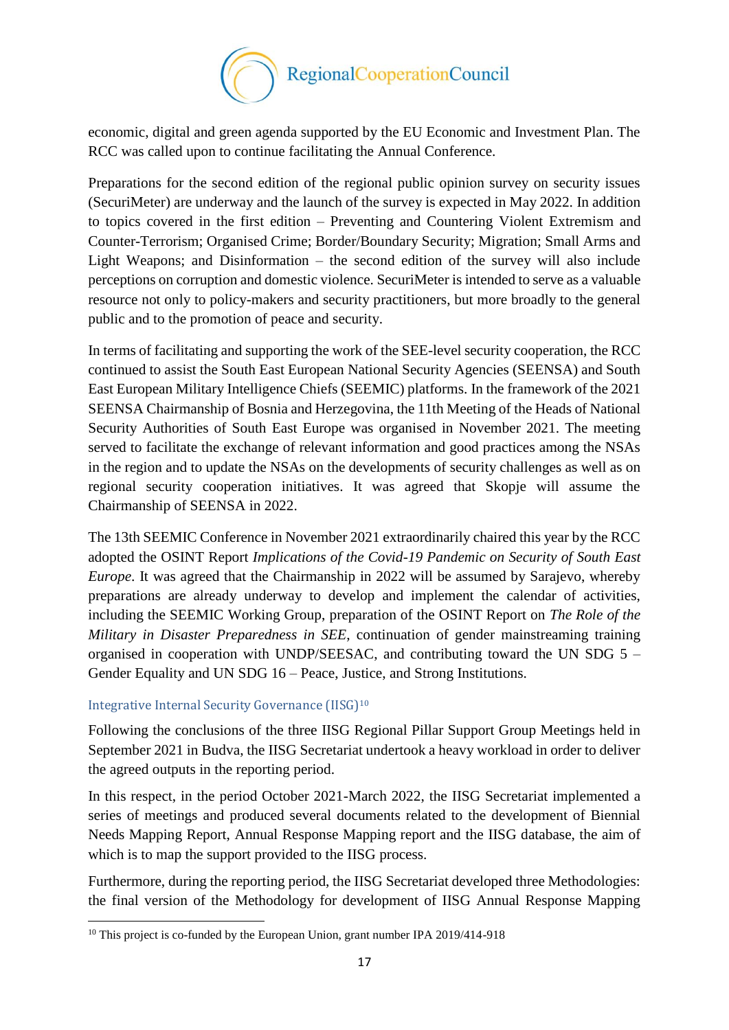

economic, digital and green agenda supported by the EU Economic and Investment Plan. The RCC was called upon to continue facilitating the Annual Conference.

Preparations for the second edition of the regional public opinion survey on security issues (SecuriMeter) are underway and the launch of the survey is expected in May 2022. In addition to topics covered in the first edition – Preventing and Countering Violent Extremism and Counter-Terrorism; Organised Crime; Border/Boundary Security; Migration; Small Arms and Light Weapons; and Disinformation – the second edition of the survey will also include perceptions on corruption and domestic violence. SecuriMeter is intended to serve as a valuable resource not only to policy-makers and security practitioners, but more broadly to the general public and to the promotion of peace and security.

In terms of facilitating and supporting the work of the SEE-level security cooperation, the RCC continued to assist the South East European National Security Agencies (SEENSA) and South East European Military Intelligence Chiefs (SEEMIC) platforms. In the framework of the 2021 SEENSA Chairmanship of Bosnia and Herzegovina, the 11th Meeting of the Heads of National Security Authorities of South East Europe was organised in November 2021. The meeting served to facilitate the exchange of relevant information and good practices among the NSAs in the region and to update the NSAs on the developments of security challenges as well as on regional security cooperation initiatives. It was agreed that Skopje will assume the Chairmanship of SEENSA in 2022.

The 13th SEEMIC Conference in November 2021 extraordinarily chaired this year by the RCC adopted the OSINT Report *Implications of the Covid-19 Pandemic on Security of South East Europe*. It was agreed that the Chairmanship in 2022 will be assumed by Sarajevo, whereby preparations are already underway to develop and implement the calendar of activities, including the SEEMIC Working Group, preparation of the OSINT Report on *The Role of the Military in Disaster Preparedness in SEE*, continuation of gender mainstreaming training organised in cooperation with UNDP/SEESAC, and contributing toward the UN SDG 5 – Gender Equality and UN SDG 16 – Peace, Justice, and Strong Institutions.

## Integrative Internal Security Governance (IISG)<sup>10</sup>

Following the conclusions of the three IISG Regional Pillar Support Group Meetings held in September 2021 in Budva, the IISG Secretariat undertook a heavy workload in order to deliver the agreed outputs in the reporting period.

In this respect, in the period October 2021-March 2022, the IISG Secretariat implemented a series of meetings and produced several documents related to the development of Biennial Needs Mapping Report, Annual Response Mapping report and the IISG database, the aim of which is to map the support provided to the IISG process.

Furthermore, during the reporting period, the IISG Secretariat developed three Methodologies: the final version of the Methodology for development of IISG Annual Response Mapping

**<sup>.</sup>** <sup>10</sup> This project is co-funded by the European Union, grant number IPA 2019/414-918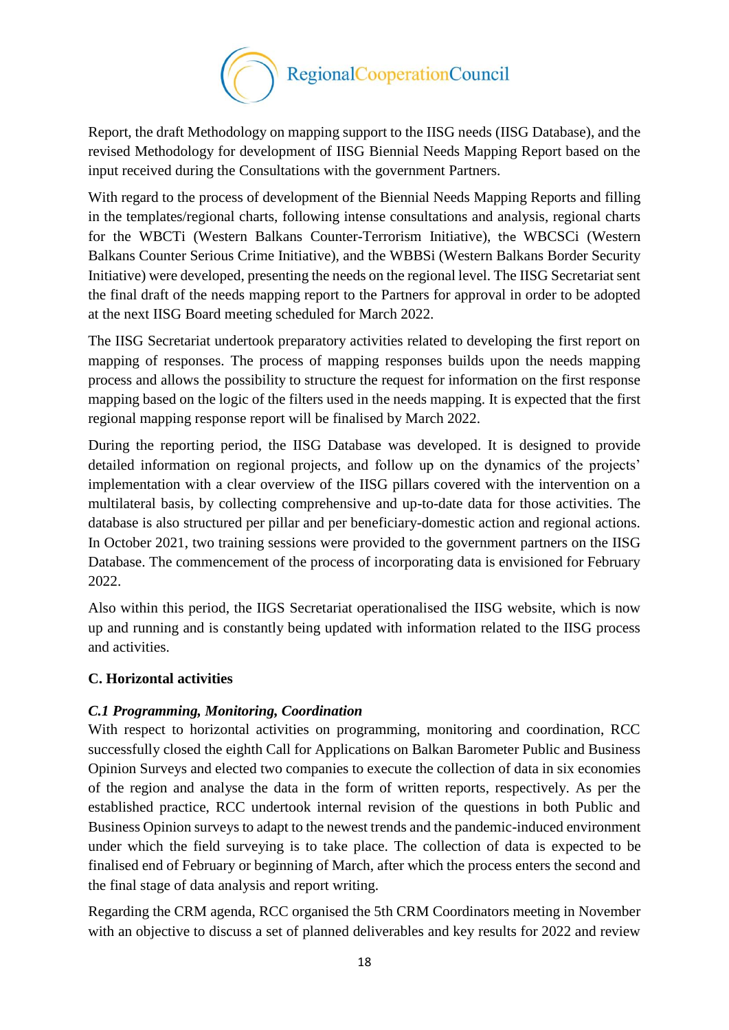

Report, the draft Methodology on mapping support to the IISG needs (IISG Database), and the revised Methodology for development of IISG Biennial Needs Mapping Report based on the input received during the Consultations with the government Partners.

With regard to the process of development of the Biennial Needs Mapping Reports and filling in the templates/regional charts, following intense consultations and analysis, regional charts for the WBCTi (Western Balkans Counter-Terrorism Initiative), the WBCSCi (Western Balkans Counter Serious Crime Initiative), and the WBBSi (Western Balkans Border Security Initiative) were developed, presenting the needs on the regional level. The IISG Secretariat sent the final draft of the needs mapping report to the Partners for approval in order to be adopted at the next IISG Board meeting scheduled for March 2022.

The IISG Secretariat undertook preparatory activities related to developing the first report on mapping of responses. The process of mapping responses builds upon the needs mapping process and allows the possibility to structure the request for information on the first response mapping based on the logic of the filters used in the needs mapping. It is expected that the first regional mapping response report will be finalised by March 2022.

During the reporting period, the IISG Database was developed. It is designed to provide detailed information on regional projects, and follow up on the dynamics of the projects' implementation with a clear overview of the IISG pillars covered with the intervention on a multilateral basis, by collecting comprehensive and up-to-date data for those activities. The database is also structured per pillar and per beneficiary-domestic action and regional actions. In October 2021, two training sessions were provided to the government partners on the IISG Database. The commencement of the process of incorporating data is envisioned for February 2022.

Also within this period, the IIGS Secretariat operationalised the IISG website, which is now up and running and is constantly being updated with information related to the IISG process and activities.

## <span id="page-17-0"></span>**C. Horizontal activities**

## *C.1 Programming, Monitoring, Coordination*

With respect to horizontal activities on programming, monitoring and coordination, RCC successfully closed the eighth Call for Applications on Balkan Barometer Public and Business Opinion Surveys and elected two companies to execute the collection of data in six economies of the region and analyse the data in the form of written reports, respectively. As per the established practice, RCC undertook internal revision of the questions in both Public and Business Opinion surveys to adapt to the newest trends and the pandemic-induced environment under which the field surveying is to take place. The collection of data is expected to be finalised end of February or beginning of March, after which the process enters the second and the final stage of data analysis and report writing.

Regarding the CRM agenda, RCC organised the 5th CRM Coordinators meeting in November with an objective to discuss a set of planned deliverables and key results for 2022 and review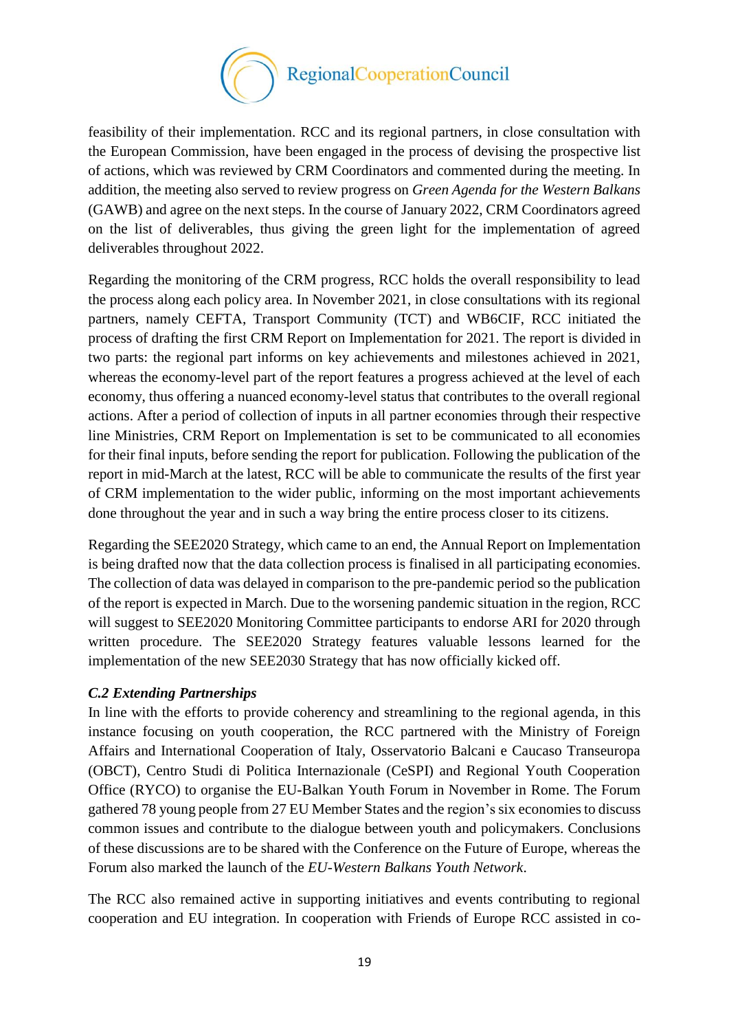

feasibility of their implementation. RCC and its regional partners, in close consultation with the European Commission, have been engaged in the process of devising the prospective list of actions, which was reviewed by CRM Coordinators and commented during the meeting. In addition, the meeting also served to review progress on *Green Agenda for the Western Balkans* (GAWB) and agree on the next steps. In the course of January 2022, CRM Coordinators agreed on the list of deliverables, thus giving the green light for the implementation of agreed deliverables throughout 2022.

Regarding the monitoring of the CRM progress, RCC holds the overall responsibility to lead the process along each policy area. In November 2021, in close consultations with its regional partners, namely CEFTA, Transport Community (TCT) and WB6CIF, RCC initiated the process of drafting the first CRM Report on Implementation for 2021. The report is divided in two parts: the regional part informs on key achievements and milestones achieved in 2021, whereas the economy-level part of the report features a progress achieved at the level of each economy, thus offering a nuanced economy-level status that contributes to the overall regional actions. After a period of collection of inputs in all partner economies through their respective line Ministries, CRM Report on Implementation is set to be communicated to all economies for their final inputs, before sending the report for publication. Following the publication of the report in mid-March at the latest, RCC will be able to communicate the results of the first year of CRM implementation to the wider public, informing on the most important achievements done throughout the year and in such a way bring the entire process closer to its citizens.

Regarding the SEE2020 Strategy, which came to an end, the Annual Report on Implementation is being drafted now that the data collection process is finalised in all participating economies. The collection of data was delayed in comparison to the pre-pandemic period so the publication of the report is expected in March. Due to the worsening pandemic situation in the region, RCC will suggest to SEE2020 Monitoring Committee participants to endorse ARI for 2020 through written procedure. The SEE2020 Strategy features valuable lessons learned for the implementation of the new SEE2030 Strategy that has now officially kicked off.

## *C.2 Extending Partnerships*

In line with the efforts to provide coherency and streamlining to the regional agenda, in this instance focusing on youth cooperation, the RCC partnered with the Ministry of Foreign Affairs and International Cooperation of Italy, Osservatorio Balcani e Caucaso Transeuropa (OBCT), Centro Studi di Politica Internazionale (CeSPI) and Regional Youth Cooperation Office (RYCO) to organise the EU-Balkan Youth Forum in November in Rome. The Forum gathered 78 young people from 27 EU Member States and the region's six economies to discuss common issues and contribute to the dialogue between youth and policymakers. Conclusions of these discussions are to be shared with the Conference on the Future of Europe, whereas the Forum also marked the launch of the *EU-Western Balkans Youth Network*.

The RCC also remained active in supporting initiatives and events contributing to regional cooperation and EU integration. In cooperation with Friends of Europe RCC assisted in co-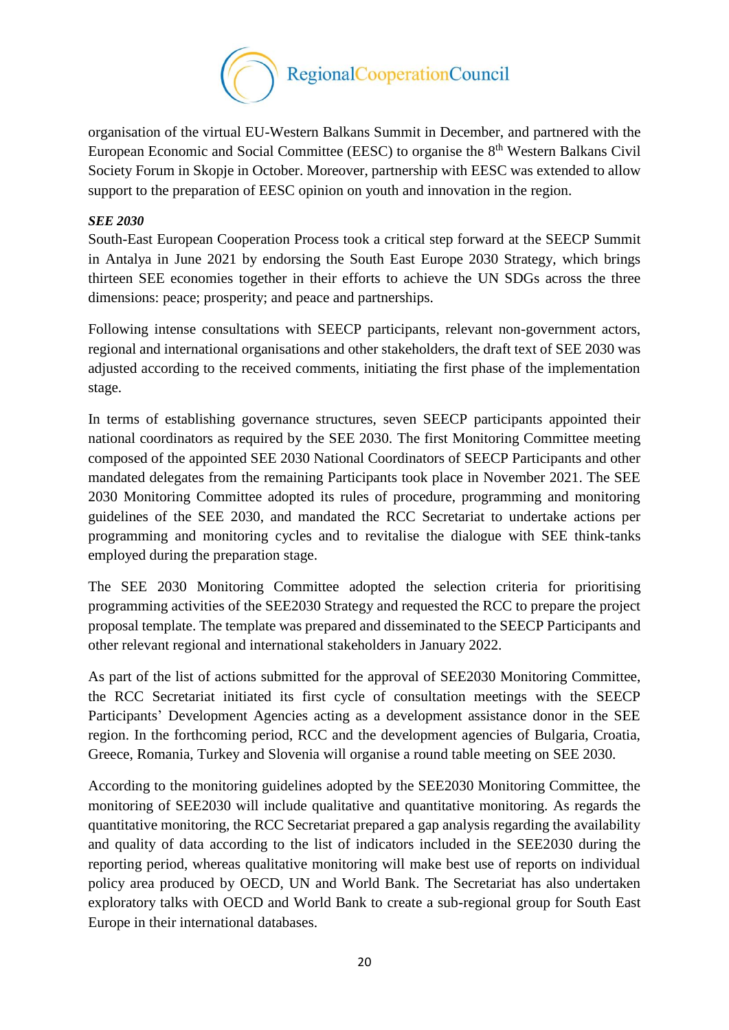

organisation of the virtual EU-Western Balkans Summit in December, and partnered with the European Economic and Social Committee (EESC) to organise the 8<sup>th</sup> Western Balkans Civil Society Forum in Skopje in October. Moreover, partnership with EESC was extended to allow support to the preparation of EESC opinion on youth and innovation in the region.

#### *SEE 2030*

South-East European Cooperation Process took a critical step forward at the SEECP Summit in Antalya in June 2021 by endorsing the South East Europe 2030 Strategy, which brings thirteen SEE economies together in their efforts to achieve the UN SDGs across the three dimensions: peace; prosperity; and peace and partnerships.

Following intense consultations with SEECP participants, relevant non-government actors, regional and international organisations and other stakeholders, the draft text of SEE 2030 was adjusted according to the received comments, initiating the first phase of the implementation stage.

In terms of establishing governance structures, seven SEECP participants appointed their national coordinators as required by the SEE 2030. The first Monitoring Committee meeting composed of the appointed SEE 2030 National Coordinators of SEECP Participants and other mandated delegates from the remaining Participants took place in November 2021. The SEE 2030 Monitoring Committee adopted its rules of procedure, programming and monitoring guidelines of the SEE 2030, and mandated the RCC Secretariat to undertake actions per programming and monitoring cycles and to revitalise the dialogue with SEE think-tanks employed during the preparation stage.

The SEE 2030 Monitoring Committee adopted the selection criteria for prioritising programming activities of the SEE2030 Strategy and requested the RCC to prepare the project proposal template. The template was prepared and disseminated to the SEECP Participants and other relevant regional and international stakeholders in January 2022.

As part of the list of actions submitted for the approval of SEE2030 Monitoring Committee, the RCC Secretariat initiated its first cycle of consultation meetings with the SEECP Participants' Development Agencies acting as a development assistance donor in the SEE region. In the forthcoming period, RCC and the development agencies of Bulgaria, Croatia, Greece, Romania, Turkey and Slovenia will organise a round table meeting on SEE 2030.

According to the monitoring guidelines adopted by the SEE2030 Monitoring Committee, the monitoring of SEE2030 will include qualitative and quantitative monitoring. As regards the quantitative monitoring, the RCC Secretariat prepared a gap analysis regarding the availability and quality of data according to the list of indicators included in the SEE2030 during the reporting period, whereas qualitative monitoring will make best use of reports on individual policy area produced by OECD, UN and World Bank. The Secretariat has also undertaken exploratory talks with OECD and World Bank to create a sub-regional group for South East Europe in their international databases.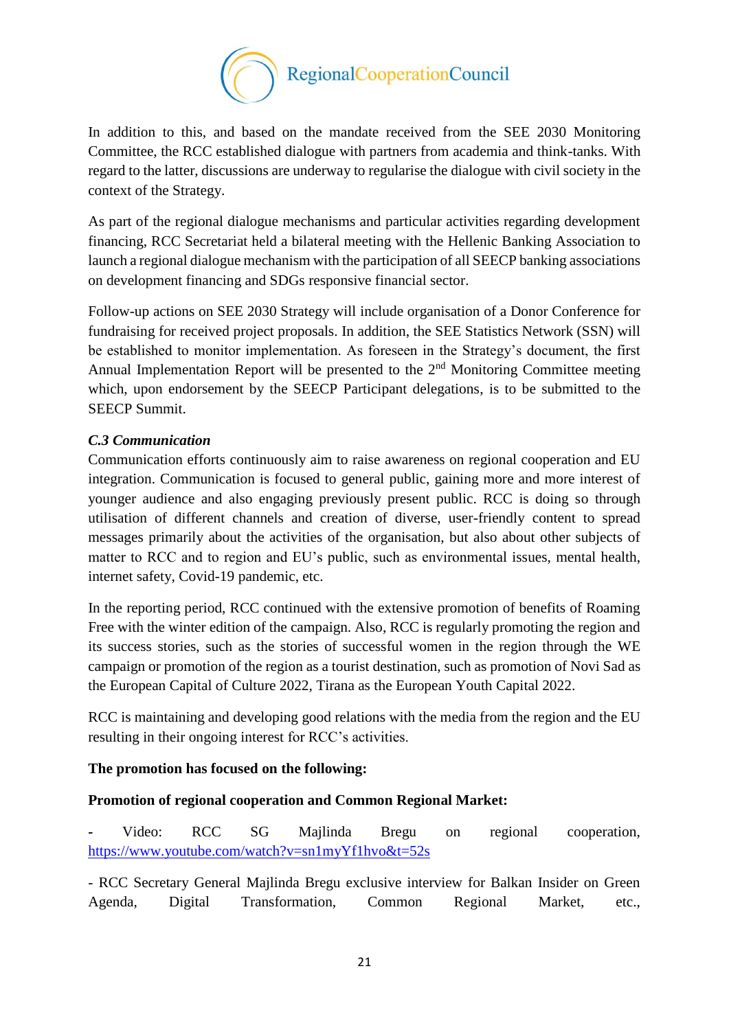

In addition to this, and based on the mandate received from the SEE 2030 Monitoring Committee, the RCC established dialogue with partners from academia and think-tanks. With regard to the latter, discussions are underway to regularise the dialogue with civil society in the context of the Strategy.

As part of the regional dialogue mechanisms and particular activities regarding development financing, RCC Secretariat held a bilateral meeting with the Hellenic Banking Association to launch a regional dialogue mechanism with the participation of all SEECP banking associations on development financing and SDGs responsive financial sector.

Follow-up actions on SEE 2030 Strategy will include organisation of a Donor Conference for fundraising for received project proposals. In addition, the SEE Statistics Network (SSN) will be established to monitor implementation. As foreseen in the Strategy's document, the first Annual Implementation Report will be presented to the  $2<sup>nd</sup>$  Monitoring Committee meeting which, upon endorsement by the SEECP Participant delegations, is to be submitted to the SEECP Summit.

## *C.3 Communication*

Communication efforts continuously aim to raise awareness on regional cooperation and EU integration. Communication is focused to general public, gaining more and more interest of younger audience and also engaging previously present public. RCC is doing so through utilisation of different channels and creation of diverse, user-friendly content to spread messages primarily about the activities of the organisation, but also about other subjects of matter to RCC and to region and EU's public, such as environmental issues, mental health, internet safety, Covid-19 pandemic, etc.

In the reporting period, RCC continued with the extensive promotion of benefits of Roaming Free with the winter edition of the campaign. Also, RCC is regularly promoting the region and its success stories, such as the stories of successful women in the region through the WE campaign or promotion of the region as a tourist destination, such as promotion of Novi Sad as the European Capital of Culture 2022, Tirana as the European Youth Capital 2022.

RCC is maintaining and developing good relations with the media from the region and the EU resulting in their ongoing interest for RCC's activities.

## **The promotion has focused on the following:**

## **Promotion of regional cooperation and Common Regional Market:**

**-** Video: RCC SG Majlinda Bregu on regional cooperation, <https://www.youtube.com/watch?v=sn1myYf1hvo&t=52s>

- RCC Secretary General Majlinda Bregu exclusive interview for Balkan Insider on Green Agenda, Digital Transformation, Common Regional Market, etc.,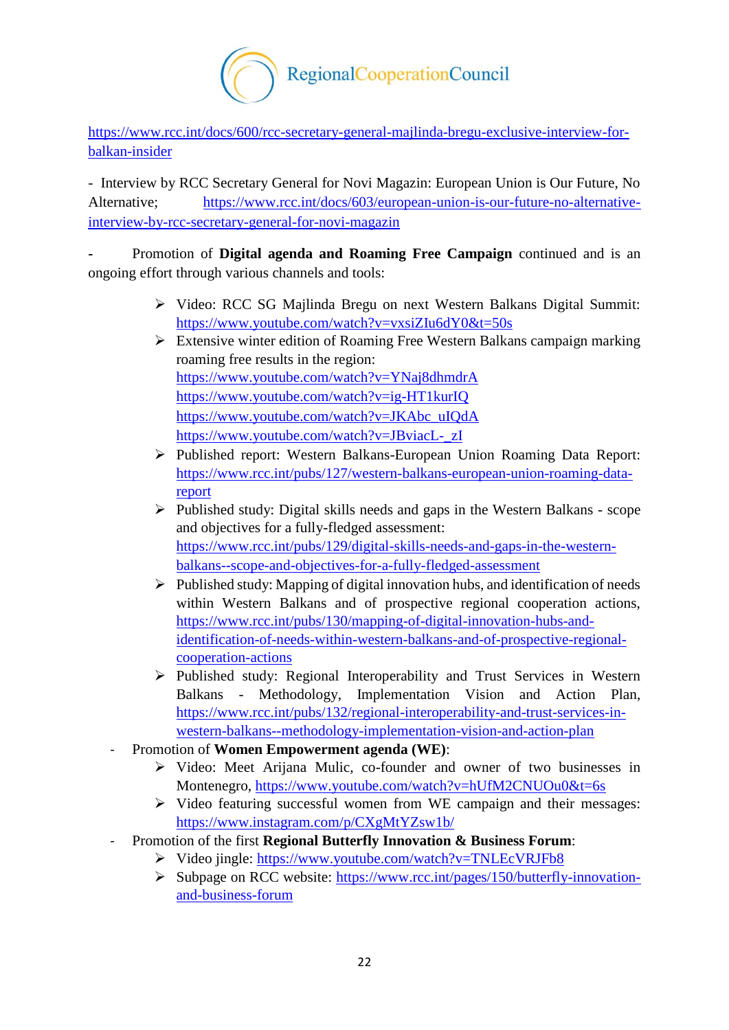

[https://www.rcc.int/docs/600/rcc-secretary-general-majlinda-bregu-exclusive-interview-for](https://www.rcc.int/docs/600/rcc-secretary-general-majlinda-bregu-exclusive-interview-for-balkan-insider)[balkan-insider](https://www.rcc.int/docs/600/rcc-secretary-general-majlinda-bregu-exclusive-interview-for-balkan-insider)

- Interview by RCC Secretary General for Novi Magazin: European Union is Our Future, No Alternative; [https://www.rcc.int/docs/603/european-union-is-our-future-no-alternative](https://www.rcc.int/docs/603/european-union-is-our-future-no-alternative-interview-by-rcc-secretary-general-for-novi-magazin)[interview-by-rcc-secretary-general-for-novi-magazin](https://www.rcc.int/docs/603/european-union-is-our-future-no-alternative-interview-by-rcc-secretary-general-for-novi-magazin)

**-** Promotion of **Digital agenda and Roaming Free Campaign** continued and is an ongoing effort through various channels and tools:

- Video: RCC SG Majlinda Bregu on next Western Balkans Digital Summit: <https://www.youtube.com/watch?v=vxsiZIu6dY0&t=50s>
- $\triangleright$  Extensive winter edition of Roaming Free Western Balkans campaign marking roaming free results in the region: <https://www.youtube.com/watch?v=YNaj8dhmdrA> <https://www.youtube.com/watch?v=ig-HT1kurIQ> [https://www.youtube.com/watch?v=JKAbc\\_uIQdA](https://www.youtube.com/watch?v=JKAbc_uIQdA) [https://www.youtube.com/watch?v=JBviacL-\\_zI](https://www.youtube.com/watch?v=JBviacL-_zI)
- Published report: Western Balkans-European Union Roaming Data Report: [https://www.rcc.int/pubs/127/western-balkans-european-union-roaming-data](https://www.rcc.int/pubs/127/western-balkans-european-union-roaming-data-report)[report](https://www.rcc.int/pubs/127/western-balkans-european-union-roaming-data-report)
- $\triangleright$  Published study: Digital skills needs and gaps in the Western Balkans scope and objectives for a fully-fledged assessment: [https://www.rcc.int/pubs/129/digital-skills-needs-and-gaps-in-the-western](https://www.rcc.int/pubs/129/digital-skills-needs-and-gaps-in-the-western-balkans--scope-and-objectives-for-a-fully-fledged-assessment)[balkans--scope-and-objectives-for-a-fully-fledged-assessment](https://www.rcc.int/pubs/129/digital-skills-needs-and-gaps-in-the-western-balkans--scope-and-objectives-for-a-fully-fledged-assessment)
- $\triangleright$  Published study: Mapping of digital innovation hubs, and identification of needs within Western Balkans and of prospective regional cooperation actions, [https://www.rcc.int/pubs/130/mapping-of-digital-innovation-hubs-and](https://www.rcc.int/pubs/130/mapping-of-digital-innovation-hubs-and-identification-of-needs-within-western-balkans-and-of-prospective-regional-cooperation-actions)[identification-of-needs-within-western-balkans-and-of-prospective-regional](https://www.rcc.int/pubs/130/mapping-of-digital-innovation-hubs-and-identification-of-needs-within-western-balkans-and-of-prospective-regional-cooperation-actions)[cooperation-actions](https://www.rcc.int/pubs/130/mapping-of-digital-innovation-hubs-and-identification-of-needs-within-western-balkans-and-of-prospective-regional-cooperation-actions)
- $\triangleright$  Published study: Regional Interoperability and Trust Services in Western Balkans - Methodology, Implementation Vision and Action Plan, [https://www.rcc.int/pubs/132/regional-interoperability-and-trust-services-in](https://www.rcc.int/pubs/132/regional-interoperability-and-trust-services-in-western-balkans--methodology-implementation-vision-and-action-plan)[western-balkans--methodology-implementation-vision-and-action-plan](https://www.rcc.int/pubs/132/regional-interoperability-and-trust-services-in-western-balkans--methodology-implementation-vision-and-action-plan)
- Promotion of **Women Empowerment agenda (WE)**:
	- Video: Meet Arijana Mulic, co-founder and owner of two businesses in Montenegro,<https://www.youtube.com/watch?v=hUfM2CNUOu0&t=6s>
	- $\triangleright$  Video featuring successful women from WE campaign and their messages: <https://www.instagram.com/p/CXgMtYZsw1b/>
- Promotion of the first **Regional Butterfly Innovation & Business Forum**:
	- Video jingle:<https://www.youtube.com/watch?v=TNLEcVRJFb8>
	- Subpage on RCC website: [https://www.rcc.int/pages/150/butterfly-innovation](https://www.rcc.int/pages/150/butterfly-innovation-and-business-forum)[and-business-forum](https://www.rcc.int/pages/150/butterfly-innovation-and-business-forum)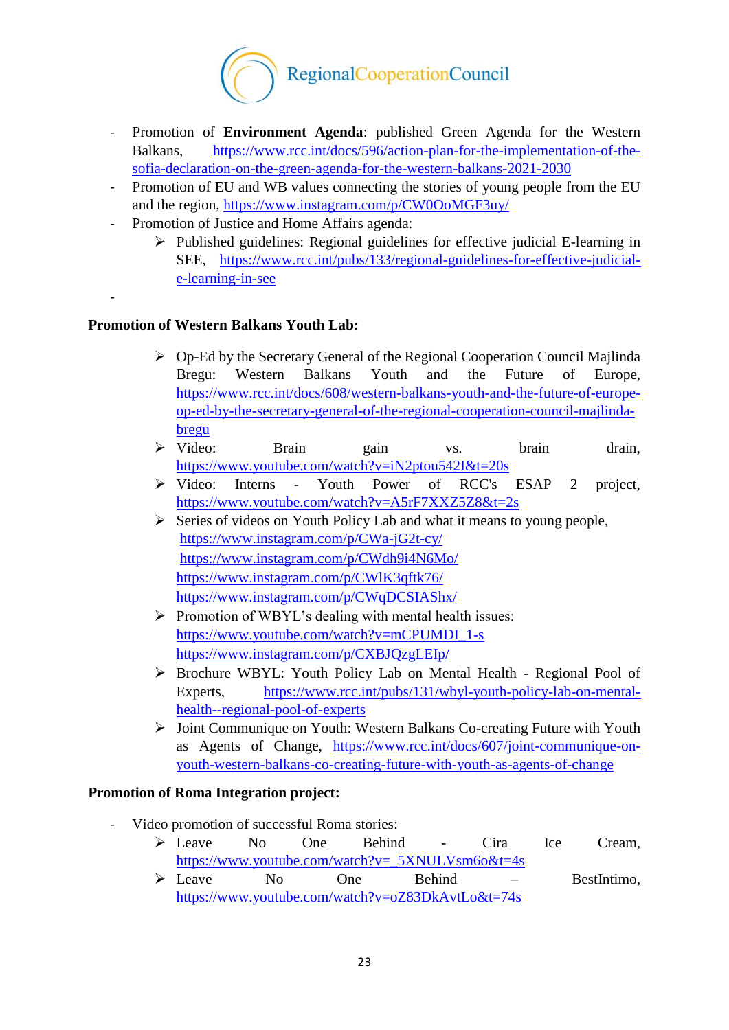

- Promotion of **Environment Agenda**: published Green Agenda for the Western Balkans, [https://www.rcc.int/docs/596/action-plan-for-the-implementation-of-the](https://www.rcc.int/docs/596/action-plan-for-the-implementation-of-the-sofia-declaration-on-the-green-agenda-for-the-western-balkans-2021-2030)[sofia-declaration-on-the-green-agenda-for-the-western-balkans-2021-2030](https://www.rcc.int/docs/596/action-plan-for-the-implementation-of-the-sofia-declaration-on-the-green-agenda-for-the-western-balkans-2021-2030)
- Promotion of EU and WB values connecting the stories of young people from the EU and the region,<https://www.instagram.com/p/CW0OoMGF3uy/>
- Promotion of Justice and Home Affairs agenda:
	- $\triangleright$  Published guidelines: Regional guidelines for effective judicial E-learning in SEE, [https://www.rcc.int/pubs/133/regional-guidelines-for-effective-judicial](https://www.rcc.int/pubs/133/regional-guidelines-for-effective-judicial-e-learning-in-see)[e-learning-in-see](https://www.rcc.int/pubs/133/regional-guidelines-for-effective-judicial-e-learning-in-see)

-

## **Promotion of Western Balkans Youth Lab:**

- $\triangleright$  Op-Ed by the Secretary General of the Regional Cooperation Council Majlinda Bregu: Western Balkans Youth and the Future of Europe, [https://www.rcc.int/docs/608/western-balkans-youth-and-the-future-of-europe](https://www.rcc.int/docs/608/western-balkans-youth-and-the-future-of-europe-op-ed-by-the-secretary-general-of-the-regional-cooperation-council-majlinda-bregu)[op-ed-by-the-secretary-general-of-the-regional-cooperation-council-majlinda](https://www.rcc.int/docs/608/western-balkans-youth-and-the-future-of-europe-op-ed-by-the-secretary-general-of-the-regional-cooperation-council-majlinda-bregu)[bregu](https://www.rcc.int/docs/608/western-balkans-youth-and-the-future-of-europe-op-ed-by-the-secretary-general-of-the-regional-cooperation-council-majlinda-bregu)
- Video: Brain gain vs. brain drain, <https://www.youtube.com/watch?v=iN2ptou542I&t=20s>
- Video: Interns Youth Power of RCC's ESAP 2 project, <https://www.youtube.com/watch?v=A5rF7XXZ5Z8&t=2s>
- $\triangleright$  Series of videos on Youth Policy Lab and what it means to young people, <https://www.instagram.com/p/CWa-jG2t-cy/> <https://www.instagram.com/p/CWdh9i4N6Mo/> <https://www.instagram.com/p/CWlK3qftk76/> <https://www.instagram.com/p/CWqDCSIAShx/>
- $\triangleright$  Promotion of WBYL's dealing with mental health issues: [https://www.youtube.com/watch?v=mCPUMDI\\_1-s](https://www.youtube.com/watch?v=mCPUMDI_1-s) <https://www.instagram.com/p/CXBJQzgLEIp/>
- Brochure WBYL: Youth Policy Lab on Mental Health Regional Pool of Experts, [https://www.rcc.int/pubs/131/wbyl-youth-policy-lab-on-mental](https://www.rcc.int/pubs/131/wbyl-youth-policy-lab-on-mental-health--regional-pool-of-experts)[health--regional-pool-of-experts](https://www.rcc.int/pubs/131/wbyl-youth-policy-lab-on-mental-health--regional-pool-of-experts)
- > Joint Communique on Youth: Western Balkans Co-creating Future with Youth as Agents of Change, [https://www.rcc.int/docs/607/joint-communique-on](https://www.rcc.int/docs/607/joint-communique-on-youth-western-balkans-co-creating-future-with-youth-as-agents-of-change)[youth-western-balkans-co-creating-future-with-youth-as-agents-of-change](https://www.rcc.int/docs/607/joint-communique-on-youth-western-balkans-co-creating-future-with-youth-as-agents-of-change)

## **Promotion of Roma Integration project:**

- Video promotion of successful Roma stories:
	- Leave No One Behind Cira Ice Cream, [https://www.youtube.com/watch?v=\\_5XNULVsm6o&t=4s](https://www.youtube.com/watch?v=_5XNULVsm6o&t=4s)
	- $\geq$  Leave No One Behind BestIntimo, <https://www.youtube.com/watch?v=oZ83DkAvtLo&t=74s>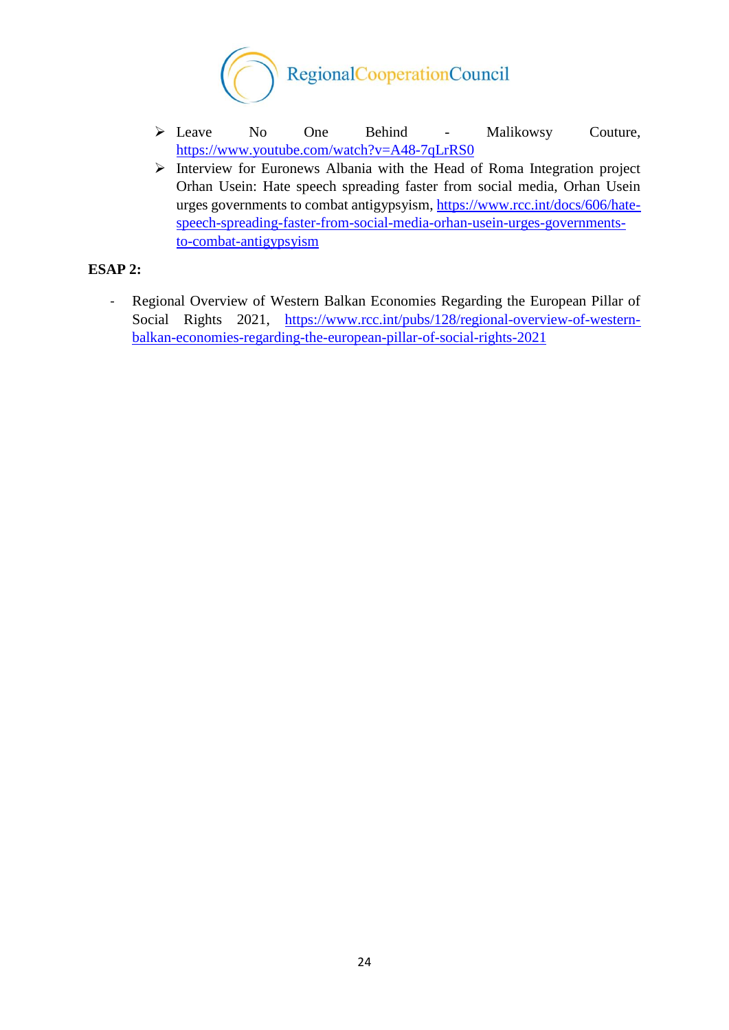

- Leave No One Behind Malikowsy Couture, <https://www.youtube.com/watch?v=A48-7qLrRS0>
- $\triangleright$  Interview for Euronews Albania with the Head of Roma Integration project Orhan Usein: Hate speech spreading faster from social media, Orhan Usein urges governments to combat antigypsyism, [https://www.rcc.int/docs/606/hate](https://www.rcc.int/docs/606/hate-speech-spreading-faster-from-social-media-orhan-usein-urges-governments-to-combat-antigypsyism)[speech-spreading-faster-from-social-media-orhan-usein-urges-governments](https://www.rcc.int/docs/606/hate-speech-spreading-faster-from-social-media-orhan-usein-urges-governments-to-combat-antigypsyism)[to-combat-antigypsyism](https://www.rcc.int/docs/606/hate-speech-spreading-faster-from-social-media-orhan-usein-urges-governments-to-combat-antigypsyism)

## **ESAP 2:**

- Regional Overview of Western Balkan Economies Regarding the European Pillar of Social Rights 2021, [https://www.rcc.int/pubs/128/regional-overview-of-western](https://www.rcc.int/pubs/128/regional-overview-of-western-balkan-economies-regarding-the-european-pillar-of-social-rights-2021)[balkan-economies-regarding-the-european-pillar-of-social-rights-2021](https://www.rcc.int/pubs/128/regional-overview-of-western-balkan-economies-regarding-the-european-pillar-of-social-rights-2021)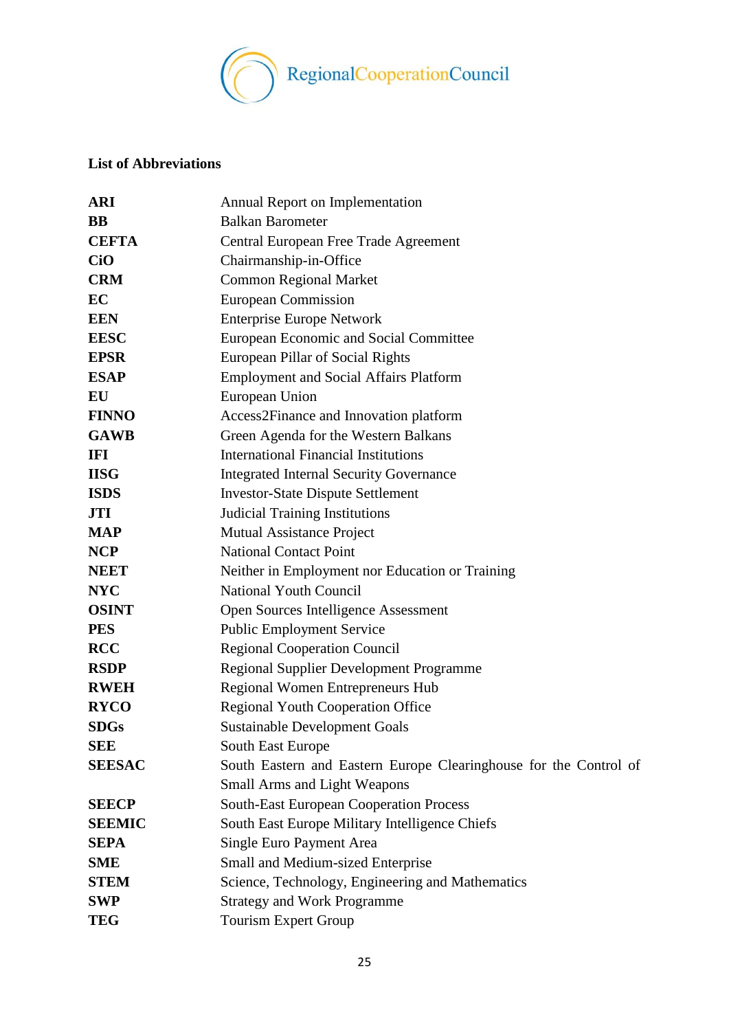

# <span id="page-24-0"></span>**List of Abbreviations**

| <b>ARI</b>    | Annual Report on Implementation                                   |
|---------------|-------------------------------------------------------------------|
| <b>BB</b>     | <b>Balkan Barometer</b>                                           |
| <b>CEFTA</b>  | Central European Free Trade Agreement                             |
| <b>CiO</b>    | Chairmanship-in-Office                                            |
| <b>CRM</b>    | <b>Common Regional Market</b>                                     |
| EC            | <b>European Commission</b>                                        |
| <b>EEN</b>    | <b>Enterprise Europe Network</b>                                  |
| <b>EESC</b>   | European Economic and Social Committee                            |
| <b>EPSR</b>   | European Pillar of Social Rights                                  |
| <b>ESAP</b>   | <b>Employment and Social Affairs Platform</b>                     |
| EU            | European Union                                                    |
| <b>FINNO</b>  | Access2Finance and Innovation platform                            |
| <b>GAWB</b>   | Green Agenda for the Western Balkans                              |
| IFI           | <b>International Financial Institutions</b>                       |
| <b>IISG</b>   | <b>Integrated Internal Security Governance</b>                    |
| <b>ISDS</b>   | <b>Investor-State Dispute Settlement</b>                          |
| <b>JTI</b>    | <b>Judicial Training Institutions</b>                             |
| <b>MAP</b>    | <b>Mutual Assistance Project</b>                                  |
| <b>NCP</b>    | <b>National Contact Point</b>                                     |
| <b>NEET</b>   | Neither in Employment nor Education or Training                   |
| <b>NYC</b>    | <b>National Youth Council</b>                                     |
| <b>OSINT</b>  | Open Sources Intelligence Assessment                              |
| <b>PES</b>    | <b>Public Employment Service</b>                                  |
| <b>RCC</b>    | <b>Regional Cooperation Council</b>                               |
| <b>RSDP</b>   | <b>Regional Supplier Development Programme</b>                    |
| <b>RWEH</b>   | Regional Women Entrepreneurs Hub                                  |
| <b>RYCO</b>   | <b>Regional Youth Cooperation Office</b>                          |
| <b>SDGs</b>   | <b>Sustainable Development Goals</b>                              |
| <b>SEE</b>    | South East Europe                                                 |
| <b>SEESAC</b> | South Eastern and Eastern Europe Clearinghouse for the Control of |
|               | <b>Small Arms and Light Weapons</b>                               |
| <b>SEECP</b>  | <b>South-East European Cooperation Process</b>                    |
| <b>SEEMIC</b> | South East Europe Military Intelligence Chiefs                    |
| <b>SEPA</b>   | Single Euro Payment Area                                          |
| <b>SME</b>    | <b>Small and Medium-sized Enterprise</b>                          |
| <b>STEM</b>   | Science, Technology, Engineering and Mathematics                  |
| <b>SWP</b>    | <b>Strategy and Work Programme</b>                                |
| <b>TEG</b>    | <b>Tourism Expert Group</b>                                       |
|               |                                                                   |